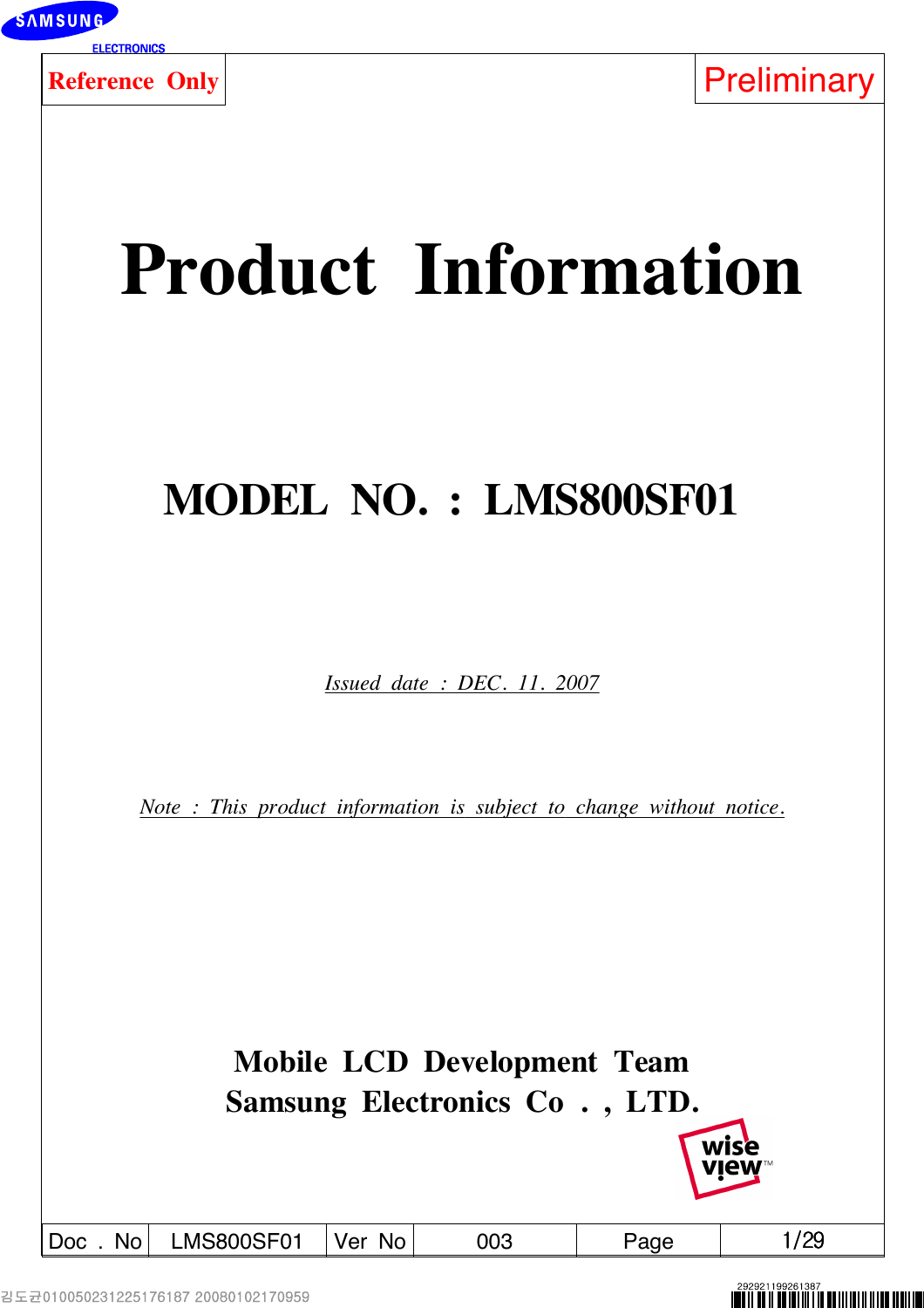

# **Product Information**

## **MODEL NO. : LMS800SF01**

*Issued date : DEC. 11. 2007*

*Note : This product information is subject to change without notice.*

**Mobile LCD Development Team Samsung Electronics Co . , LTD.**

Doc . No LMS800SF01 Ver No  $\vert$  003  $\vert$  Page  $\vert$  1/29

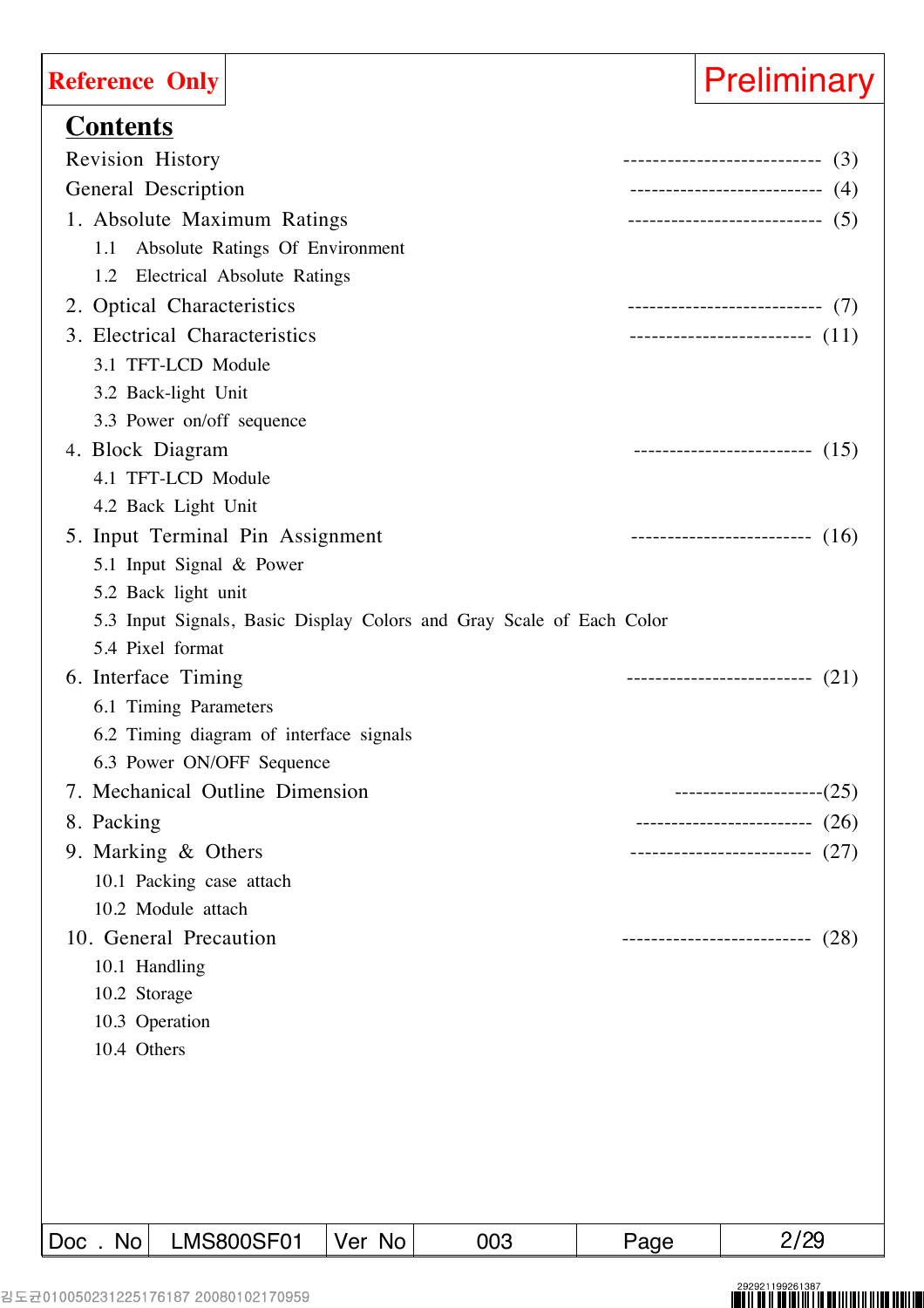| <b>Reference Only</b>                   |                                 |        |                                                                      |      | <b>Preliminary</b>                  |
|-----------------------------------------|---------------------------------|--------|----------------------------------------------------------------------|------|-------------------------------------|
| <b>Contents</b>                         |                                 |        |                                                                      |      |                                     |
| <b>Revision History</b>                 |                                 |        |                                                                      |      | ------------------------------ (3)  |
| General Description                     |                                 |        |                                                                      |      | ---------------------------- (4)    |
| 1. Absolute Maximum Ratings             |                                 |        |                                                                      |      |                                     |
| 1.1                                     | Absolute Ratings Of Environment |        |                                                                      |      |                                     |
| 1.2 Electrical Absolute Ratings         |                                 |        |                                                                      |      |                                     |
| 2. Optical Characteristics              |                                 |        |                                                                      |      | ----------------------------(7)     |
| 3. Electrical Characteristics           |                                 |        |                                                                      |      | --------------------------- $(11)$  |
| 3.1 TFT-LCD Module                      |                                 |        |                                                                      |      |                                     |
| 3.2 Back-light Unit                     |                                 |        |                                                                      |      |                                     |
| 3.3 Power on/off sequence               |                                 |        |                                                                      |      |                                     |
| 4. Block Diagram                        |                                 |        |                                                                      |      | -------------------------- (15)     |
| 4.1 TFT-LCD Module                      |                                 |        |                                                                      |      |                                     |
| 4.2 Back Light Unit                     |                                 |        |                                                                      |      |                                     |
| 5. Input Terminal Pin Assignment        |                                 |        |                                                                      |      | ---------------------------- $(16)$ |
| 5.1 Input Signal & Power                |                                 |        |                                                                      |      |                                     |
| 5.2 Back light unit                     |                                 |        |                                                                      |      |                                     |
|                                         |                                 |        | 5.3 Input Signals, Basic Display Colors and Gray Scale of Each Color |      |                                     |
| 5.4 Pixel format                        |                                 |        |                                                                      |      |                                     |
| 6. Interface Timing                     |                                 |        |                                                                      |      | ---------------------------- $(21)$ |
| 6.1 Timing Parameters                   |                                 |        |                                                                      |      |                                     |
| 6.2 Timing diagram of interface signals |                                 |        |                                                                      |      |                                     |
| 6.3 Power ON/OFF Sequence               |                                 |        |                                                                      |      |                                     |
| 7. Mechanical Outline Dimension         |                                 |        |                                                                      |      | $----------(25)$                    |
| 8. Packing                              |                                 |        |                                                                      |      | --------------------------- $(26)$  |
| 9. Marking & Others                     |                                 |        |                                                                      |      | -------------------------(27)       |
| 10.1 Packing case attach                |                                 |        |                                                                      |      |                                     |
| 10.2 Module attach                      |                                 |        |                                                                      |      |                                     |
| 10. General Precaution                  |                                 |        |                                                                      |      | (28)<br>--------------------------  |
| 10.1 Handling                           |                                 |        |                                                                      |      |                                     |
| 10.2 Storage                            |                                 |        |                                                                      |      |                                     |
| 10.3 Operation                          |                                 |        |                                                                      |      |                                     |
| 10.4 Others                             |                                 |        |                                                                      |      |                                     |
|                                         |                                 |        |                                                                      |      |                                     |
|                                         |                                 |        |                                                                      |      |                                     |
|                                         |                                 |        |                                                                      |      |                                     |
|                                         |                                 |        |                                                                      |      |                                     |
|                                         |                                 |        |                                                                      |      |                                     |
| Doc. No                                 | <b>LMS800SF01</b>               | Ver No | 003                                                                  | Page | 2/29                                |

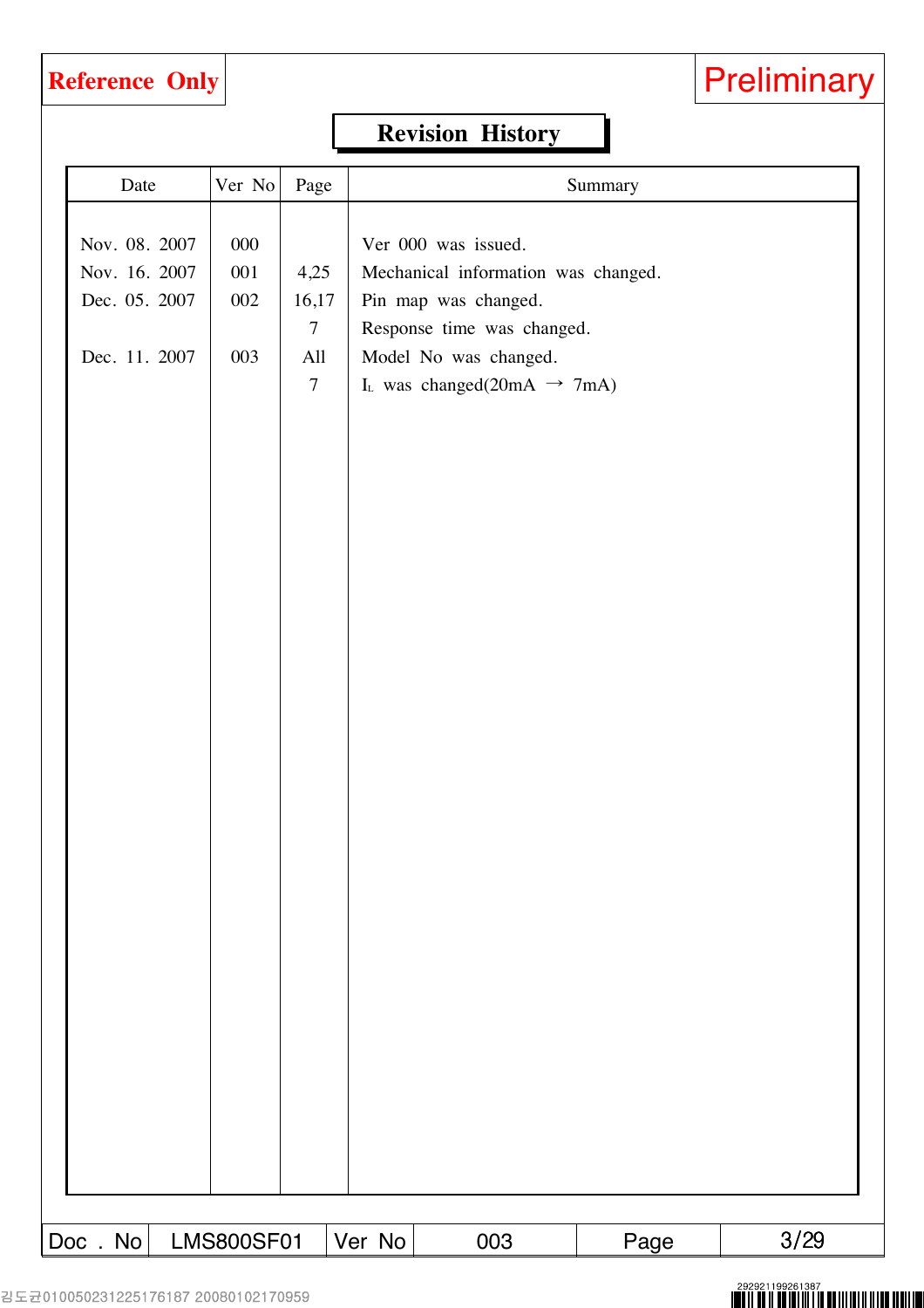## **Revision History**

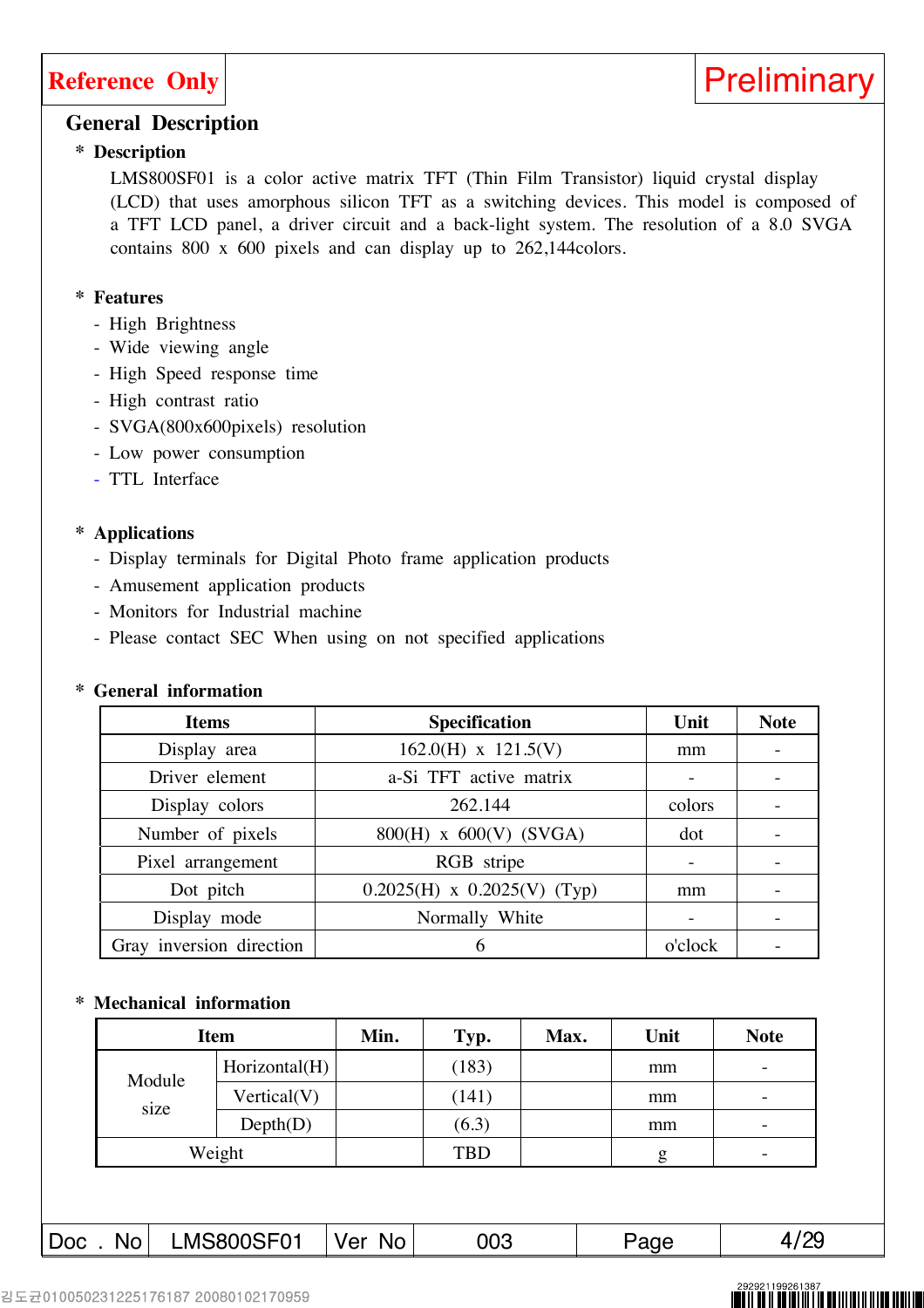

### **General Description**

### **\* Description**

LMS800SF01 is a color active matrix TFT (Thin Film Transistor) liquid crystal display (LCD) that uses amorphous silicon TFT as a switching devices. This model is composed of a TFT LCD panel, a driver circuit and a back-light system. The resolution of a 8.0 SVGA contains 800 x 600 pixels and can display up to 262,144colors.

### **\* Features**

- High Brightness
- Wide viewing angle
- High Speed response time
- High contrast ratio
- SVGA(800x600pixels) resolution
- Low power consumption
- TTL Interface

### **\* Applications**

- Display terminals for Digital Photo frame application products
- Amusement application products
- Monitors for Industrial machine
- Please contact SEC When using on not specified applications

### **\* General information**

| <b>Items</b>             | <b>Specification</b>            | Unit    | <b>Note</b> |
|--------------------------|---------------------------------|---------|-------------|
| Display area             | $162.0(H)$ x $121.5(V)$         | mm      |             |
| Driver element           | a-Si TFT active matrix          |         |             |
| Display colors           | 262.144                         | colors  |             |
| Number of pixels         | $800(H)$ x $600(V)$ (SVGA)      | dot     |             |
| Pixel arrangement        | RGB stripe                      |         |             |
| Dot pitch                | $0.2025(H)$ x $0.2025(V)$ (Typ) | mm      |             |
| Display mode             | Normally White                  |         |             |
| Gray inversion direction | 6                               | o'clock |             |

### **\* Mechanical information**

|        | <b>Item</b>   |  | Typ.       | Max. | Unit | <b>Note</b>              |
|--------|---------------|--|------------|------|------|--------------------------|
| Module | Horizontal(H) |  | (183)      |      | mm   | -                        |
|        | Vertical(V)   |  | (141)      |      | mm   | $\overline{\phantom{0}}$ |
| size   | Depth(D)      |  | (6.3)      |      | mm   | $\overline{\phantom{0}}$ |
|        | Weight        |  | <b>TBD</b> |      | g    | -                        |
|        |               |  |            |      |      |                          |
|        |               |  |            |      |      |                          |

Doc . No LMS800SF01 Ver No 003 Page 14/29

## N II AN IIII NI I NI AN III NI II N AN A ANI A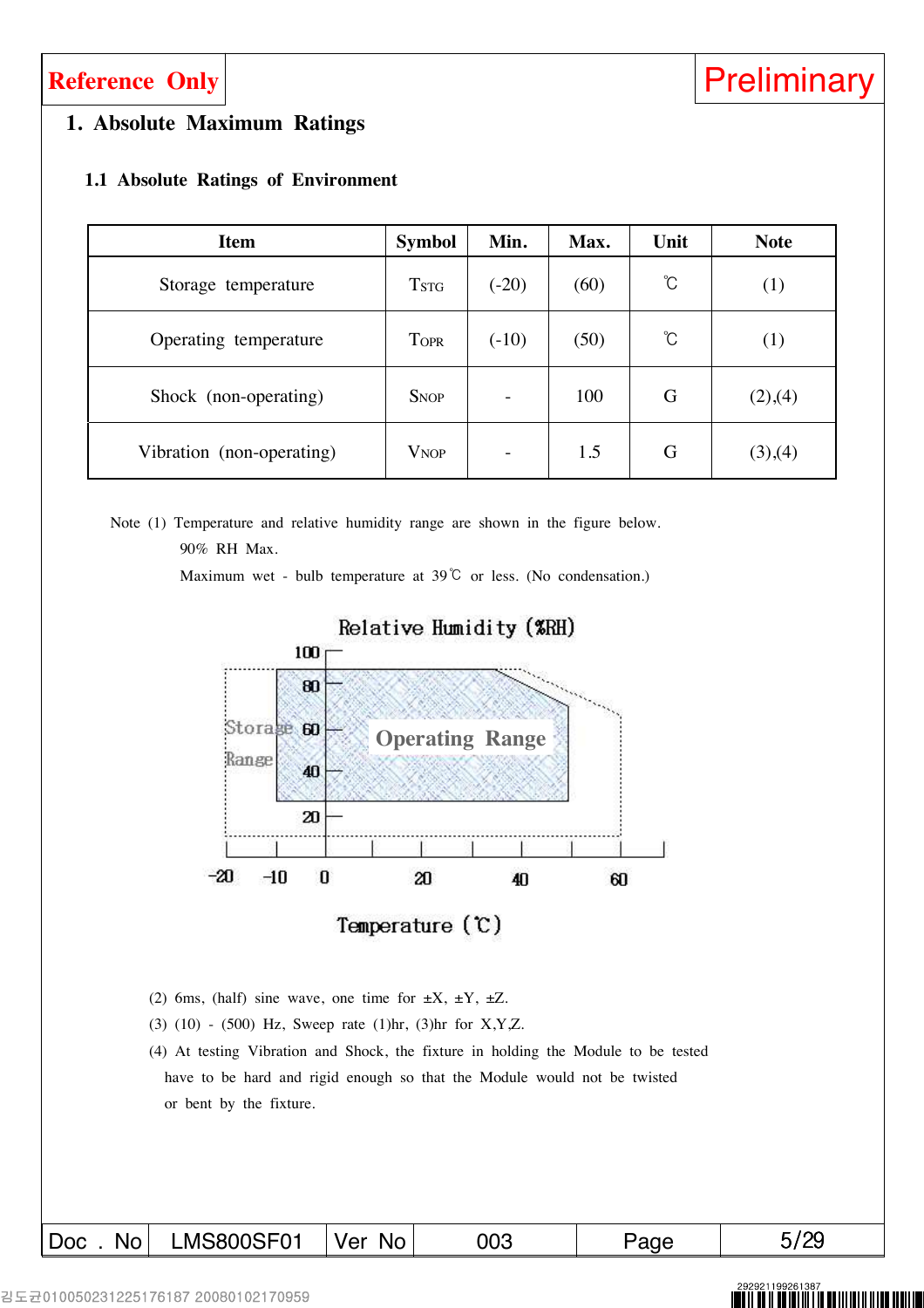### **1. Absolute Maximum Ratings**

### **1.1 Absolute Ratings of Environment**

| <b>Item</b>               | <b>Symbol</b>           | Min.    | Max. | Unit | <b>Note</b> |
|---------------------------|-------------------------|---------|------|------|-------------|
| Storage temperature       | <b>TSTG</b>             | $(-20)$ | (60) | Ĉ    | (1)         |
| Operating temperature     | <b>TOPR</b>             | $(-10)$ | (50) | Ĉ    | (1)         |
| Shock (non-operating)     | <b>SNOP</b>             |         | 100  | G    | (2),(4)     |
| Vibration (non-operating) | <b>V</b> <sub>NOP</sub> |         | 1.5  | G    | (3),(4)     |

Note (1) Temperature and relative humidity range are shown in the figure below. 90% RH Max.

Maximum wet - bulb temperature at  $39^{\circ}$ C or less. (No condensation.)



Relative Humidity (%RH)

- (2) 6ms, (half) sine wave, one time for  $\pm X$ ,  $\pm Y$ ,  $\pm Z$ .
- (3) (10) (500) Hz, Sweep rate (1)hr, (3)hr for X,Y,Z.
- (4) At testing Vibration and Shock, the fixture in holding the Module to be tested have to be hard and rigid enough so that the Module would not be twisted or bent by the fixture.

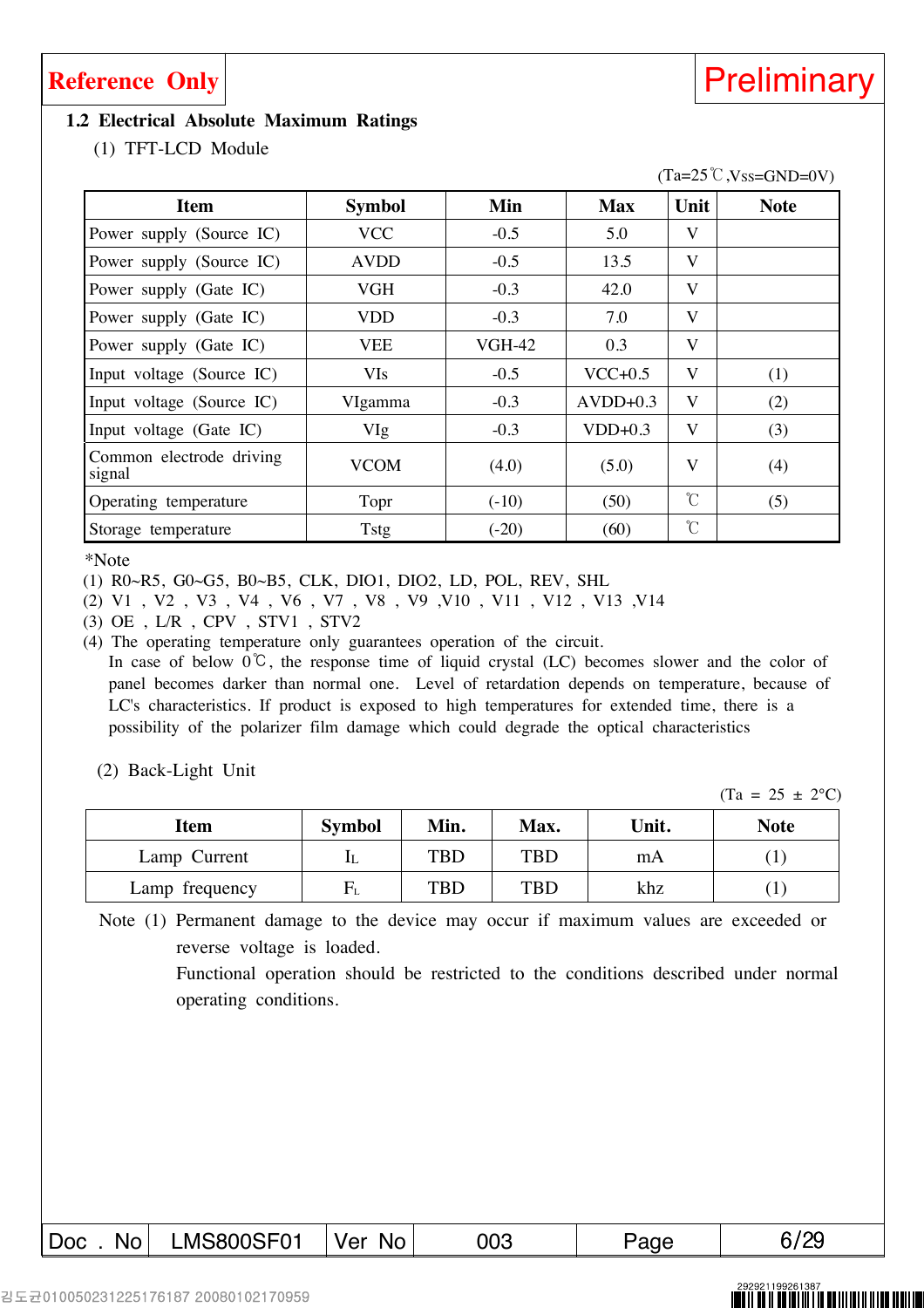### **Reference Only Reference Only**

### **1.2 Electrical Absolute Maximum Ratings**

(1) TFT-LCD Module

| <b>Item</b>                        | <b>Symbol</b> | Min           | <b>Max</b> | Unit          | <b>Note</b> |
|------------------------------------|---------------|---------------|------------|---------------|-------------|
| Power supply (Source IC)           | <b>VCC</b>    | $-0.5$        | 5.0        | V             |             |
| Power supply (Source IC)           | <b>AVDD</b>   | $-0.5$        | 13.5       | V             |             |
| Power supply (Gate IC)             | <b>VGH</b>    | $-0.3$        | 42.0       | V             |             |
| Power supply (Gate IC)             | <b>VDD</b>    | $-0.3$        | 7.0        | V             |             |
| Power supply (Gate IC)             | <b>VEE</b>    | <b>VGH-42</b> | 0.3        | V             |             |
| Input voltage (Source IC)          | <b>VIs</b>    | $-0.5$        | $VCC+0.5$  | V             | (1)         |
| Input voltage (Source IC)          | VIgamma       | $-0.3$        | $AVDD+0.3$ | V             | (2)         |
| Input voltage (Gate IC)            | VIg           | $-0.3$        | $VDD+0.3$  | V             | (3)         |
| Common electrode driving<br>signal | <b>VCOM</b>   | (4.0)         | (5.0)      | V             | (4)         |
| Operating temperature              | Topr          | $(-10)$       | (50)       | $\mathcal{C}$ | (5)         |
| Storage temperature                | Tstg          | $(-20)$       | (60)       | $\mathcal{C}$ |             |

\*Note

(1) R0~R5, G0~G5, B0~B5, CLK, DIO1, DIO2, LD, POL, REV, SHL

(2) V1 , V2 , V3 , V4 , V6 , V7 , V8 , V9 ,V10 , V11 , V12 , V13 ,V14

(3) OE , L/R , CPV , STV1 , STV2

(4) The operating temperature only guarantees operation of the circuit. In case of below  $0^{\circ}$ C, the response time of liquid crystal (LC) becomes slower and the color of panel becomes darker than normal one. Level of retardation depends on temperature, because of LC's characteristics. If product is exposed to high temperatures for extended time, there is a possibility of the polarizer film damage which could degrade the optical characteristics

(2) Back-Light Unit

 $(Ta = 25 \pm 2^{\circ}C)$ 

| Item           | <b>Symbol</b>         | Min. | Max.       | Unit. | <b>Note</b> |
|----------------|-----------------------|------|------------|-------|-------------|
| Lamp Current   | LL                    | TBD  | <b>TBD</b> | mA    |             |
| Lamp frequency | ${\bf \rm F}_{\rm L}$ | TBD  | <b>TBD</b> | khz   |             |

Note (1) Permanent damage to the device may occur if maximum values are exceeded or reverse voltage is loaded.

> Functional operation should be restricted to the conditions described under normal operating conditions.

 $(Ta=25\degree C$ ,  $Vss=GND=0V$ )

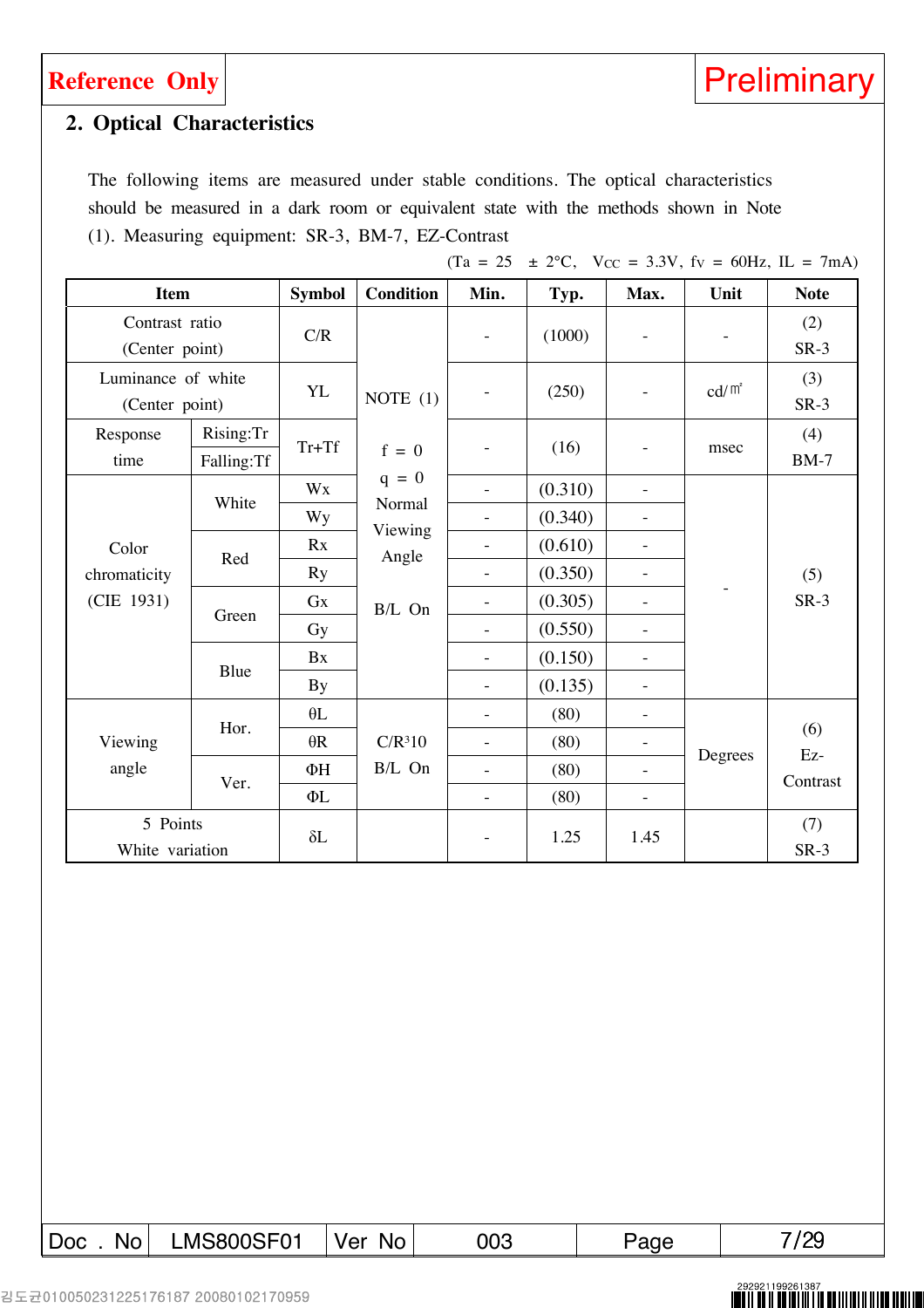

### **2. Optical Characteristics**

The following items are measured under stable conditions. The optical characteristics should be measured in a dark room or equivalent state with the methods shown in Note (1). Measuring equipment: SR-3, BM-7, EZ-Contrast

|                                      |                             |               |                                        | $(Ta = 25)$              |         |                          |                 | $\pm$ 2°C, Vcc = 3.3V, fv = 60Hz, IL = 7mA) |
|--------------------------------------|-----------------------------|---------------|----------------------------------------|--------------------------|---------|--------------------------|-----------------|---------------------------------------------|
| <b>Item</b>                          |                             | <b>Symbol</b> | <b>Condition</b>                       | Min.                     | Typ.    | Max.                     | Unit            | <b>Note</b>                                 |
| Contrast ratio<br>(Center point)     |                             | C/R           |                                        | $\overline{\phantom{a}}$ | (1000)  | $\overline{\phantom{a}}$ |                 | (2)<br>$SR-3$                               |
| Luminance of white<br>(Center point) |                             | <b>YL</b>     | NOTE $(1)$                             | ÷,                       | (250)   | $\equiv$                 | $\text{cd/m}^2$ | (3)<br>$SR-3$                               |
| Response<br>time                     | Rising:Tr<br>Falling:Tf     | $Tr+Tf$       | $f = 0$                                | ÷,                       | (16)    | $\overline{\phantom{a}}$ | msec            | (4)<br>$BM-7$                               |
|                                      |                             | Wx            | $q = 0$                                | $\overline{a}$           | (0.310) | $\overline{\phantom{a}}$ |                 |                                             |
|                                      | White                       | <b>Wy</b>     | Normal<br>Viewing<br>Angle<br>$B/L$ On | ÷                        | (0.340) | $\overline{\phantom{a}}$ |                 |                                             |
| Color                                | Red                         | Rx            |                                        |                          | (0.610) | $\overline{\phantom{a}}$ |                 |                                             |
| chromaticity                         |                             | <b>Ry</b>     |                                        | $\frac{1}{2}$            | (0.350) | $\overline{\phantom{a}}$ |                 | (5)                                         |
| (CIE 1931)                           | Green                       | Gx            |                                        | ÷,                       | (0.305) | $\overline{\phantom{a}}$ |                 | $SR-3$                                      |
|                                      |                             | Gy            |                                        | $\frac{1}{2}$            | (0.550) | $\overline{\phantom{a}}$ |                 |                                             |
|                                      |                             | Bx            |                                        | $\bar{a}$                | (0.150) | $\overline{\phantom{a}}$ |                 |                                             |
|                                      | Blue                        | By            |                                        | $\overline{\phantom{0}}$ | (0.135) | $\overline{\phantom{a}}$ |                 |                                             |
| Viewing<br>angle                     |                             | $\theta$ L    |                                        | $\overline{\phantom{a}}$ | (80)    | $\overline{\phantom{a}}$ |                 |                                             |
|                                      | Hor.                        | $\theta R$    | C/R <sup>3</sup> 10                    | $\overline{a}$           | (80)    | $\overline{\phantom{a}}$ |                 | (6)                                         |
|                                      |                             | ФH            | B/L On                                 | ÷                        | (80)    | $\overline{\phantom{a}}$ | Degrees         | Ez-                                         |
|                                      | Ver.                        | ΦL            |                                        | ÷,                       | (80)    | ÷                        |                 | Contrast                                    |
|                                      | 5 Points<br>White variation |               |                                        | $\overline{\phantom{0}}$ | 1.25    | 1.45                     |                 | (7)<br>$SR-3$                               |

Doc . No LMS800SF01 Ver No 003 | Page 1 7/29

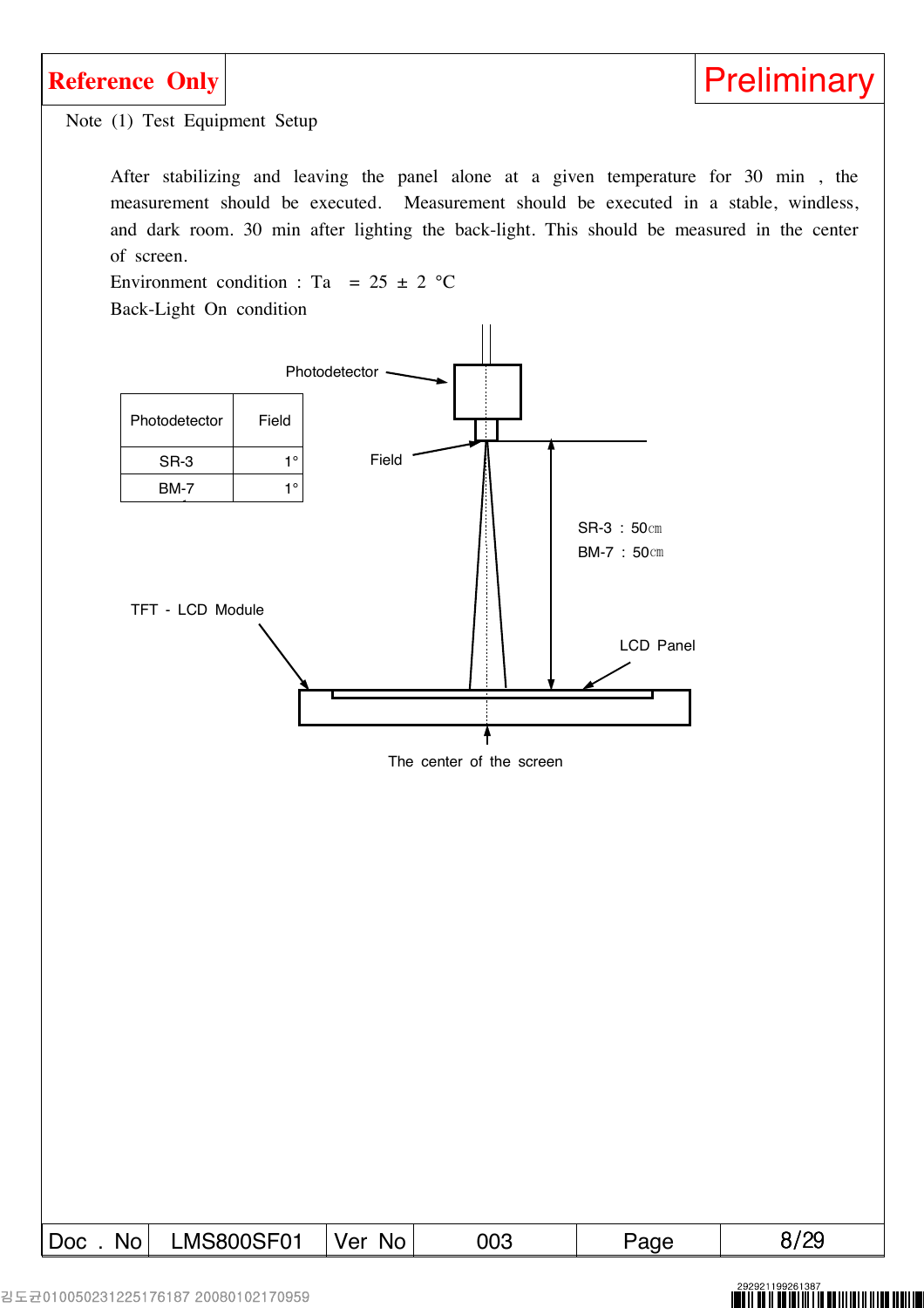

Note (1) Test Equipment Setup

After stabilizing and leaving the panel alone at a given temperature for 30 min , the measurement should be executed. Measurement should be executed in a stable, windless, and dark room. 30 min after lighting the back-light. This should be measured in the center of screen.

Environment condition : Ta =  $25 \pm 2$  °C Back-Light On condition



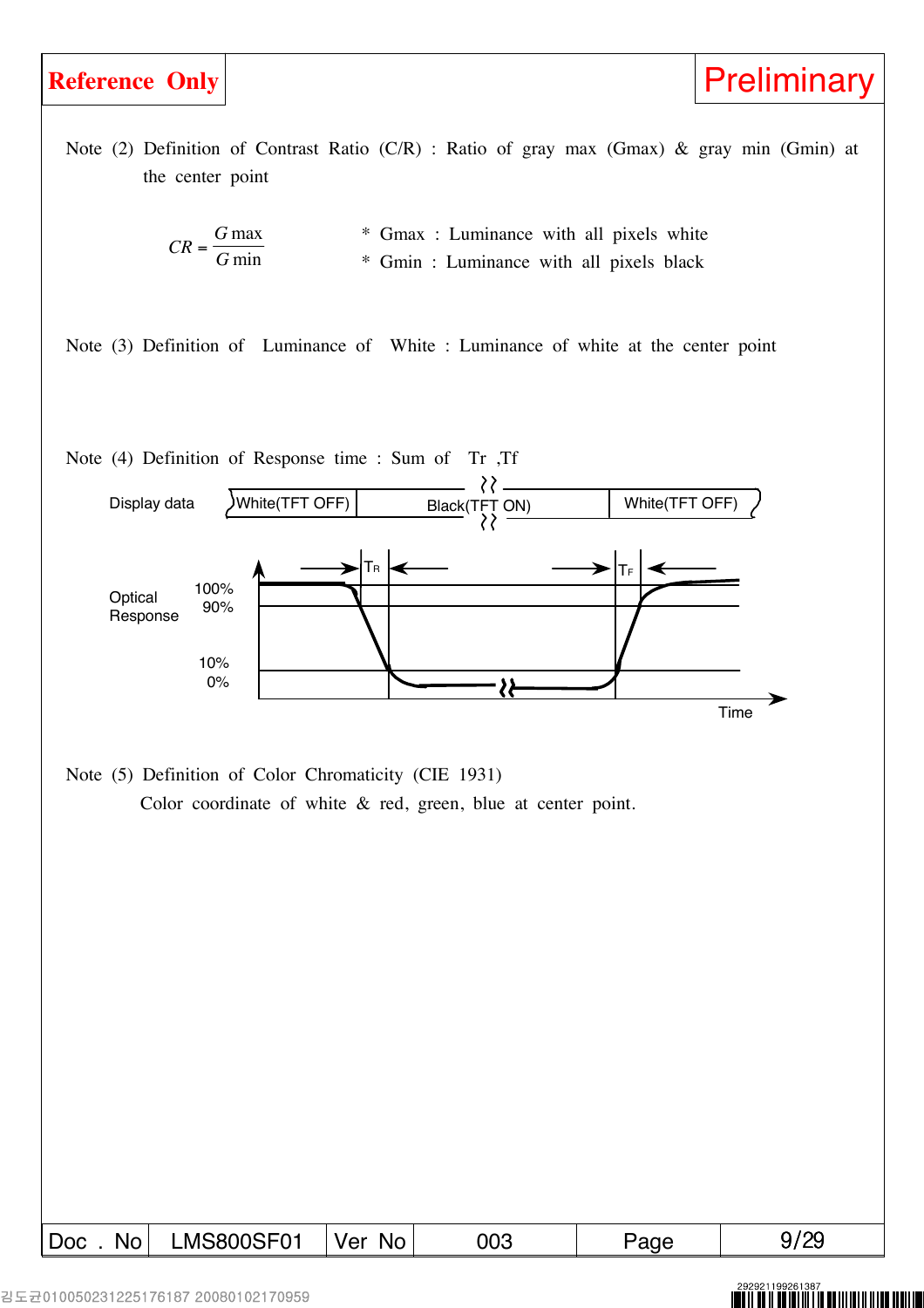

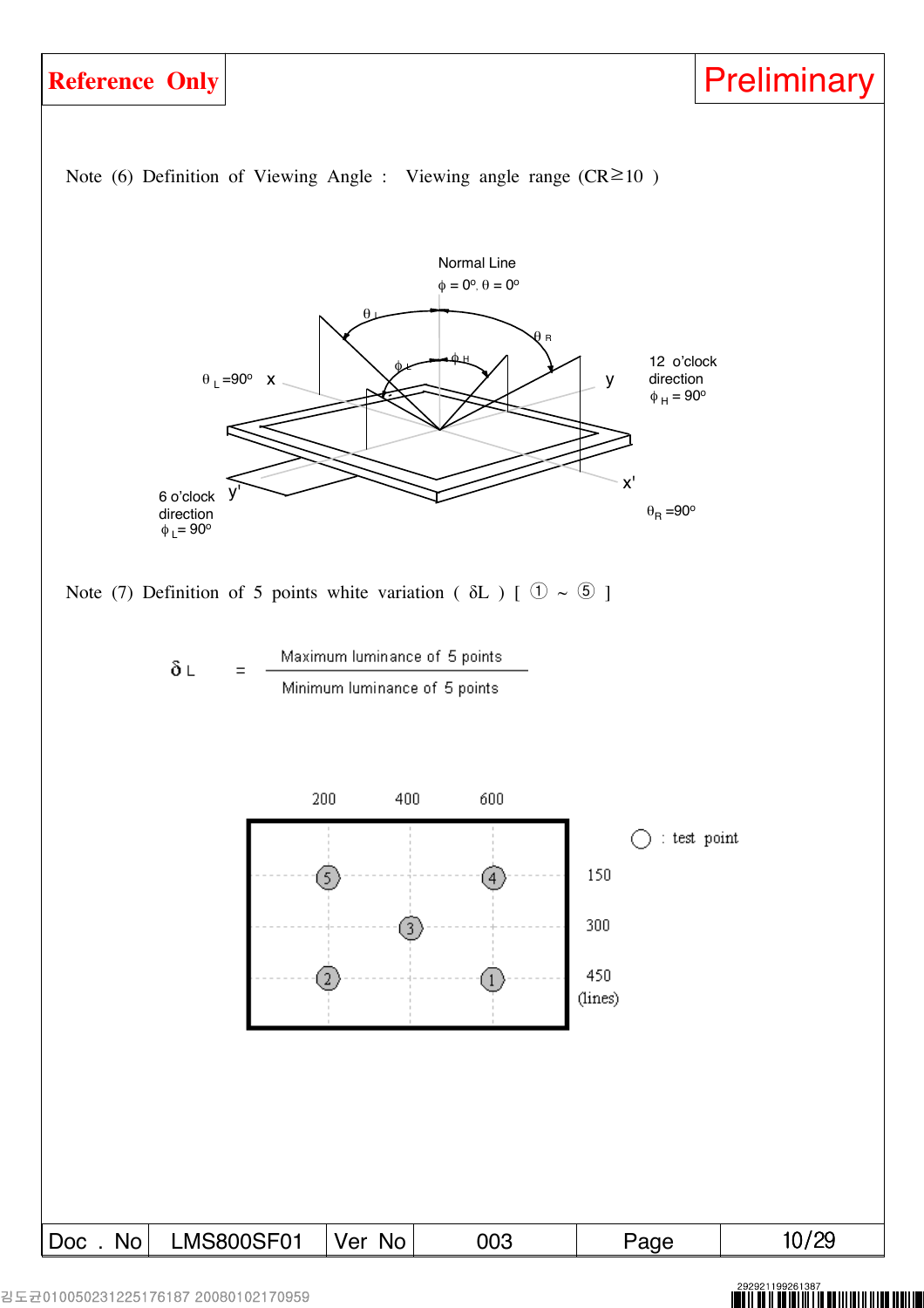

### NITI NILII NI TII NITI NI KU III III III II IIII IIIIII III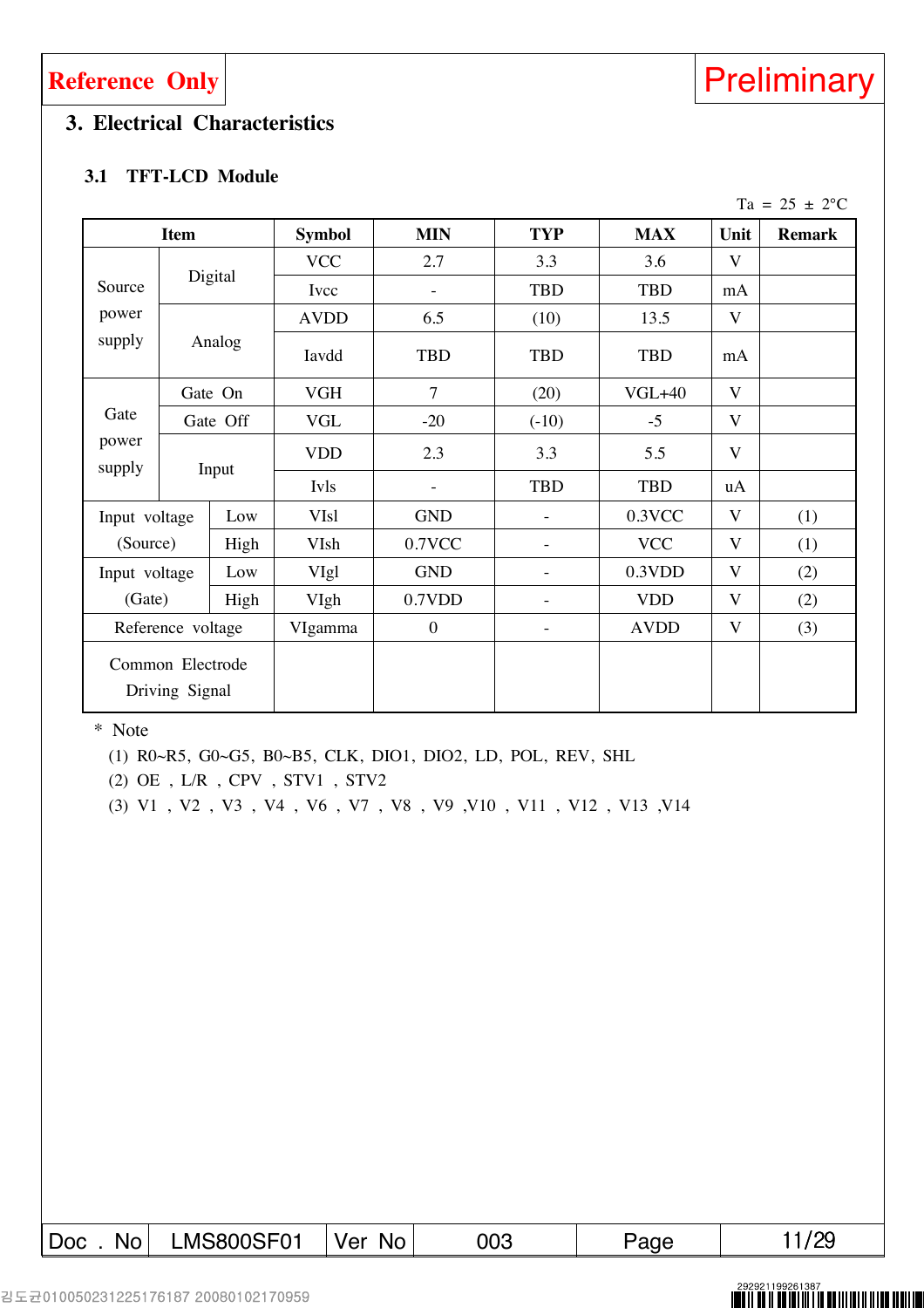### **3. Electrical Characteristics**

### **3.1 TFT-LCD Module**

|                                    |               |               |                  |                          |                          |                         |                         | Ta = $25 \pm 2$ °C |
|------------------------------------|---------------|---------------|------------------|--------------------------|--------------------------|-------------------------|-------------------------|--------------------|
| <b>Item</b>                        |               | <b>Symbol</b> | <b>MIN</b>       | <b>TYP</b>               | <b>MAX</b>               | Unit                    | <b>Remark</b>           |                    |
|                                    |               |               | <b>VCC</b>       | 2.7                      | 3.3                      | 3.6                     | V                       |                    |
| Source                             |               | Digital       | Ivcc             | $\overline{\phantom{a}}$ | <b>TBD</b>               | <b>TBD</b>              | mA                      |                    |
| power                              |               |               | <b>AVDD</b>      | 6.5                      | (10)                     | 13.5                    | V                       |                    |
| supply                             |               | Analog        | Iavdd            | <b>TBD</b>               | <b>TBD</b>               | <b>TBD</b>              | mA                      |                    |
| Gate On                            |               |               | <b>VGH</b>       | $\overline{7}$           | (20)                     | $VGL+40$                | V                       |                    |
| Gate<br>power<br>supply            | Gate Off      | <b>VGL</b>    | $-20$            | $(-10)$                  | $-5$                     | $\overline{\mathbf{V}}$ |                         |                    |
|                                    |               | Input         | <b>VDD</b>       | 2.3                      | 3.3                      | 5.5                     | V                       |                    |
|                                    |               |               | Ivls             | $\overline{\phantom{m}}$ | <b>TBD</b>               | <b>TBD</b>              | uA                      |                    |
| Input voltage                      |               | Low           | <b>VIsl</b>      | <b>GND</b>               | $\overline{\phantom{a}}$ | 0.3VCC                  | $\overline{\mathbf{V}}$ | (1)                |
| (Source)                           |               | High          | VIsh             | 0.7VCC                   | $\overline{\phantom{a}}$ | <b>VCC</b>              | $\overline{\mathbf{V}}$ | (1)                |
|                                    | Input voltage |               | VIgl             | <b>GND</b>               | $\overline{\phantom{a}}$ | 0.3VDD                  | $\overline{\mathbf{V}}$ | (2)                |
| (Gate)                             |               | High          | VIgh             | 0.7VDD                   | $\overline{\phantom{a}}$ | <b>VDD</b>              | $\overline{\mathbf{V}}$ | (2)                |
| Reference voltage                  |               | VIgamma       | $\boldsymbol{0}$ | $\overline{\phantom{a}}$ | <b>AVDD</b>              | V                       | (3)                     |                    |
| Common Electrode<br>Driving Signal |               |               |                  |                          |                          |                         |                         |                    |

\* Note

(1) R0~R5, G0~G5, B0~B5, CLK, DIO1, DIO2, LD, POL, REV, SHL

(2) OE , L/R , CPV , STV1 , STV2

(3) V1 , V2 , V3 , V4 , V6 , V7 , V8 , V9 ,V10 , V11 , V12 , V13 ,V14

| Doc. No LMS800SF01 | Ver No | 003 | Page | 11/29 |
|--------------------|--------|-----|------|-------|



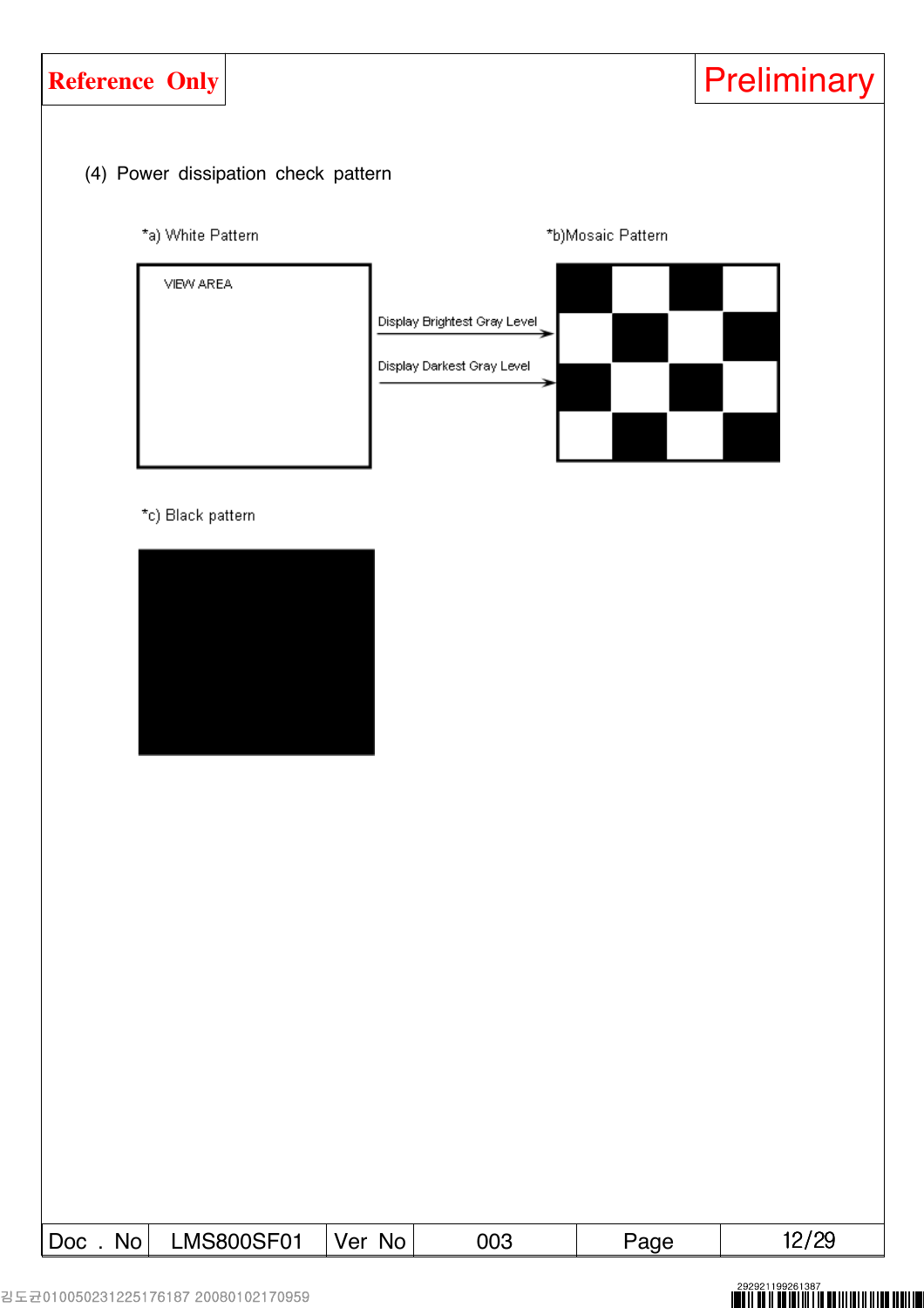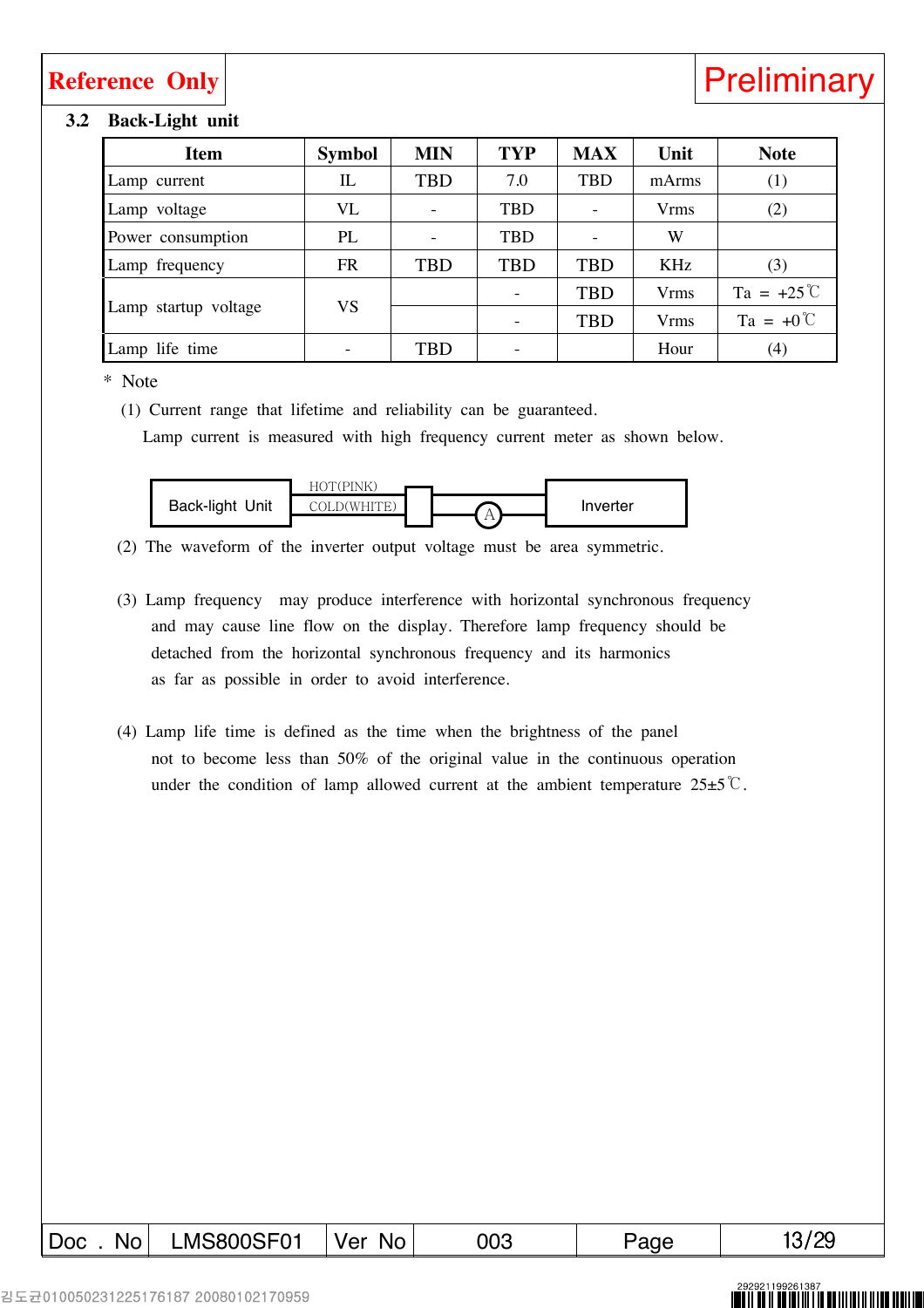### **3.2 Back-Light unit**

| <b>Item</b>          | <b>Symbol</b> | <b>MIN</b> | <b>TYP</b> | <b>MAX</b> | Unit                    | <b>Note</b>         |
|----------------------|---------------|------------|------------|------------|-------------------------|---------------------|
| Lamp current         | IL            | <b>TBD</b> | 7.0        | <b>TBD</b> | mArms                   | (1)                 |
| Lamp voltage         | VL            |            | <b>TBD</b> |            | <b>Vrms</b>             | (2)                 |
| Power consumption    | PL            |            | TBD        |            | W                       |                     |
| Lamp frequency       | <b>FR</b>     | <b>TBD</b> | <b>TBD</b> | <b>TBD</b> | KHz                     | (3)                 |
|                      |               |            | -          | <b>TBD</b> | <b>V</b> <sub>rms</sub> | $Ta = +25^{\circ}C$ |
| Lamp startup voltage | <b>VS</b>     |            |            | <b>TBD</b> | <b>Vrms</b>             | $Ta = +0^{\circ}C$  |
| Lamp life time       |               | <b>TBD</b> |            |            | Hour                    | (4)                 |

### \* Note

(1) Current range that lifetime and reliability can be guaranteed.

Lamp current is measured with high frequency current meter as shown below.



(2) The waveform of the inverter output voltage must be area symmetric.

- (3) Lamp frequency may produce interference with horizontal synchronous frequency and may cause line flow on the display. Therefore lamp frequency should be detached from the horizontal synchronous frequency and its harmonics as far as possible in order to avoid interference.
- (4) Lamp life time is defined as the time when the brightness of the panel not to become less than 50% of the original value in the continuous operation under the condition of lamp allowed current at the ambient temperature  $25\pm5\degree$ C.

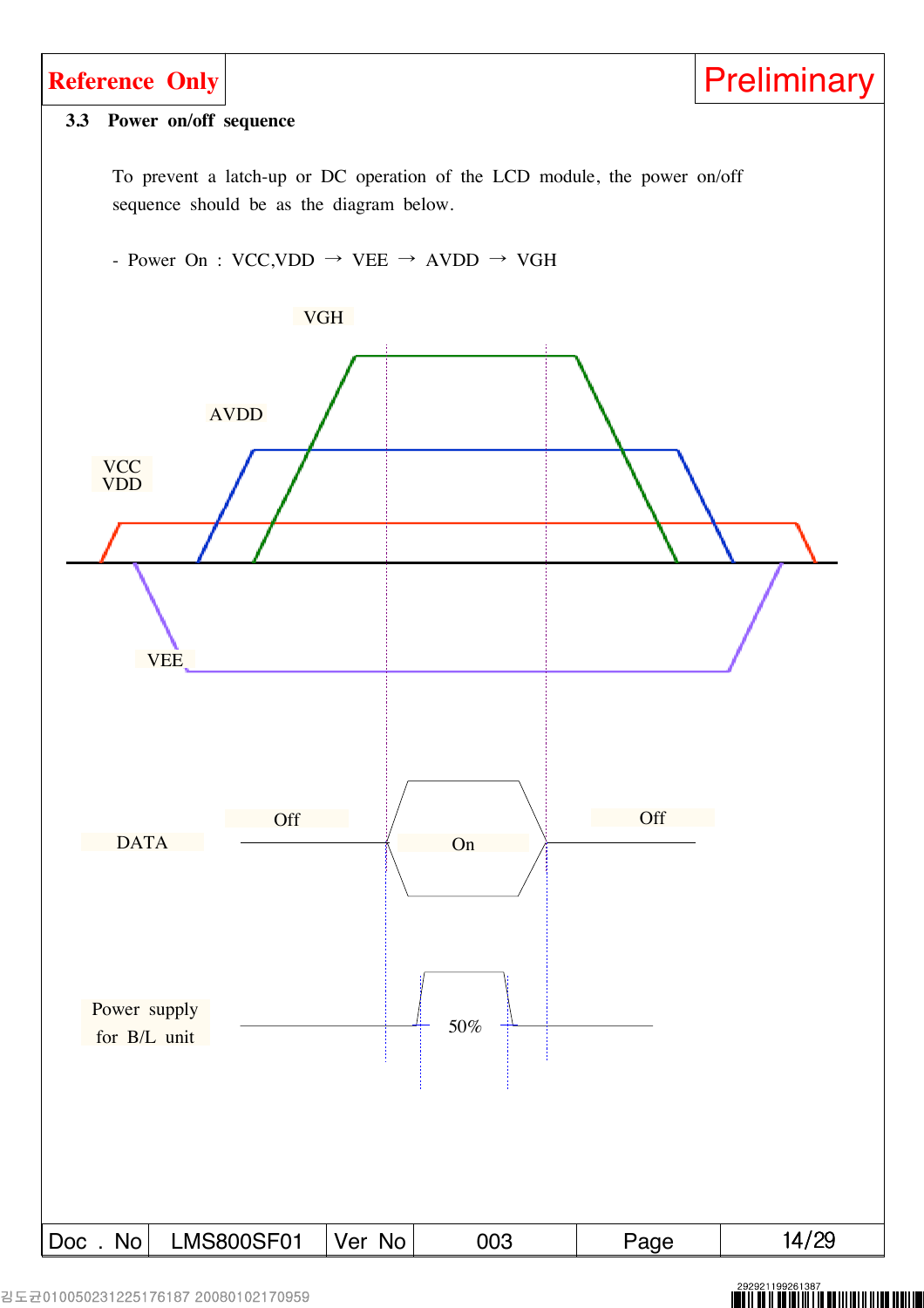

###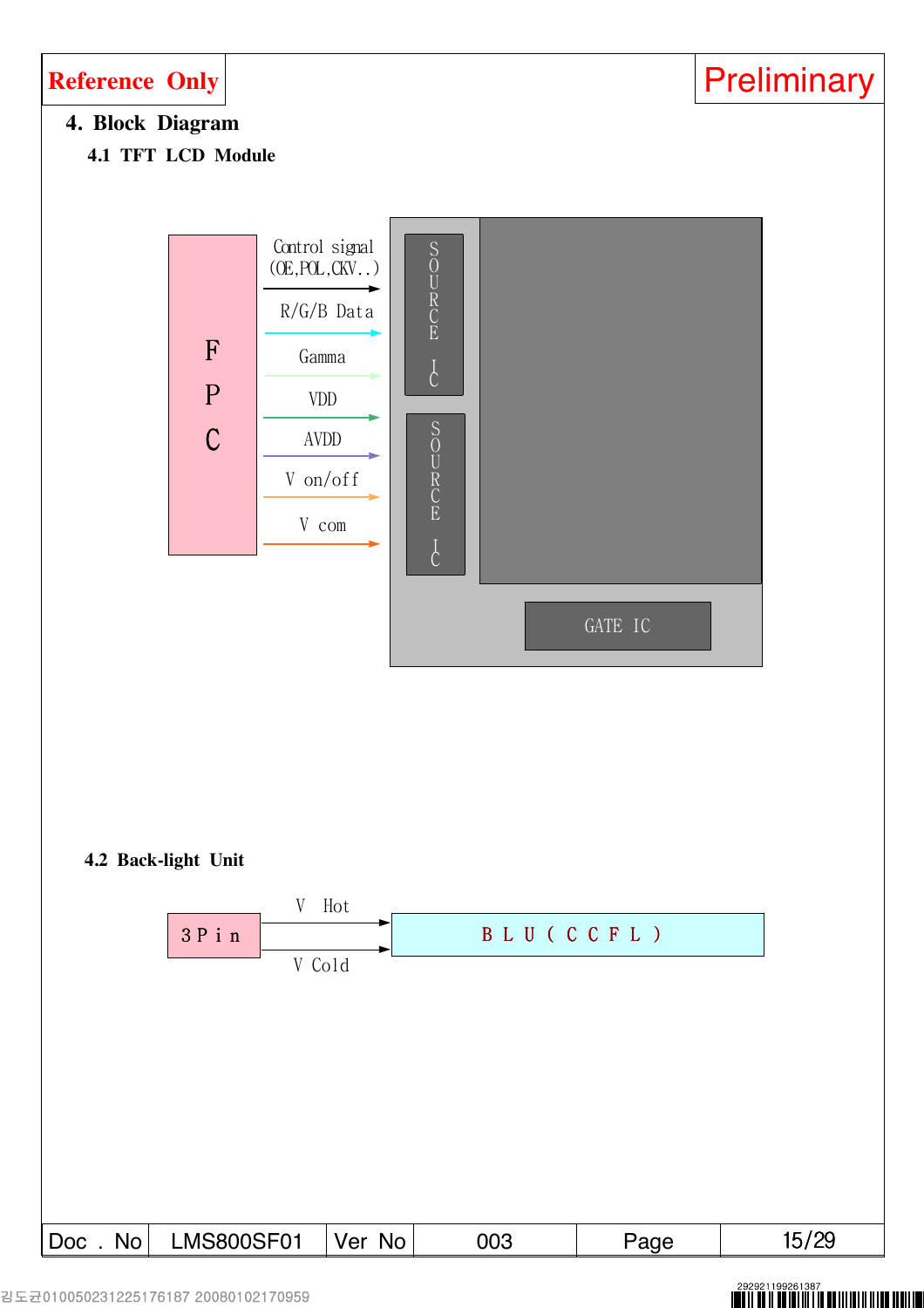

###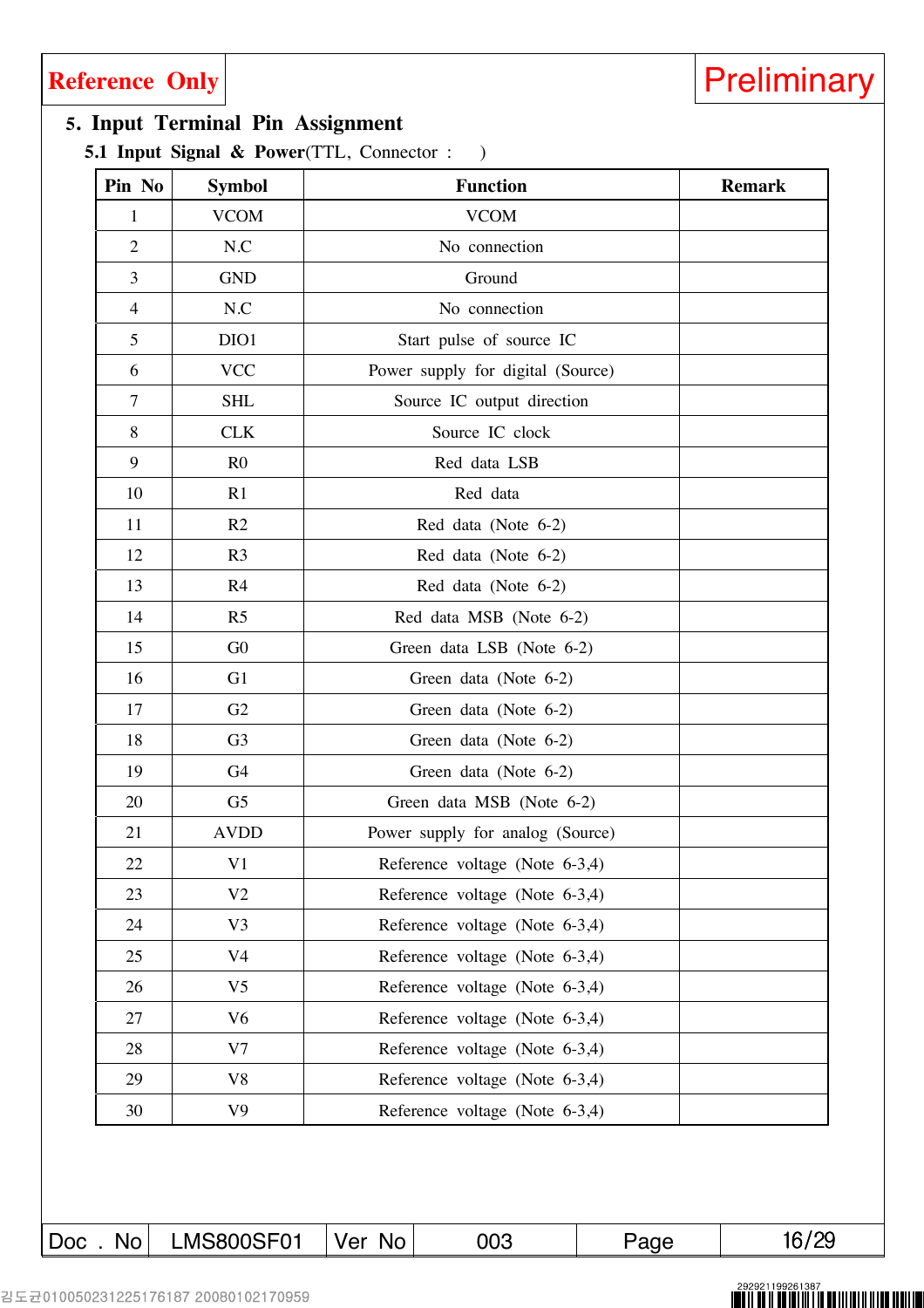### **5. Input Terminal Pin Assignment**

**5.1 Input Signal & Power**(TTL, Connector : )

| Pin No         | <b>Symbol</b>  | <b>Function</b>                   | <b>Remark</b> |
|----------------|----------------|-----------------------------------|---------------|
| 1              | <b>VCOM</b>    | <b>VCOM</b>                       |               |
| $\overline{2}$ | N.C            | No connection                     |               |
| 3              | <b>GND</b>     | Ground                            |               |
| 4              | N.C            | No connection                     |               |
| 5              | DIO1           | Start pulse of source IC          |               |
| 6              | <b>VCC</b>     | Power supply for digital (Source) |               |
| 7              | <b>SHL</b>     | Source IC output direction        |               |
| 8              | <b>CLK</b>     | Source IC clock                   |               |
| 9              | R <sub>0</sub> | Red data LSB                      |               |
| 10             | R1             | Red data                          |               |
| 11             | R2             | Red data (Note 6-2)               |               |
| 12             | R <sub>3</sub> | Red data (Note 6-2)               |               |
| 13             | R <sub>4</sub> | Red data (Note 6-2)               |               |
| 14             | R <sub>5</sub> | Red data MSB (Note 6-2)           |               |
| 15             | G <sub>0</sub> | Green data LSB (Note 6-2)         |               |
| 16             | G <sub>1</sub> | Green data (Note 6-2)             |               |
| 17             | G2             | Green data (Note 6-2)             |               |
| 18             | G <sub>3</sub> | Green data (Note 6-2)             |               |
| 19             | G4             | Green data (Note 6-2)             |               |
| 20             | G <sub>5</sub> | Green data MSB (Note 6-2)         |               |
| 21             | <b>AVDD</b>    | Power supply for analog (Source)  |               |
| 22             | V1             | Reference voltage (Note 6-3,4)    |               |
| 23             | V <sub>2</sub> | Reference voltage (Note 6-3,4)    |               |
| 24             | V3             | Reference voltage (Note 6-3,4)    |               |
| 25             | V <sub>4</sub> | Reference voltage (Note 6-3,4)    |               |
| 26             | V <sub>5</sub> | Reference voltage (Note 6-3,4)    |               |
| 27             | V <sub>6</sub> | Reference voltage (Note 6-3,4)    |               |
| 28             | V7             | Reference voltage (Note 6-3,4)    |               |
| 29             | V8             | Reference voltage (Note 6-3,4)    |               |
| 30             | V <sub>9</sub> | Reference voltage (Note 6-3,4)    |               |

 $\text{Doc}$  . No LMS800SF01 Ver No 003 Page 16/29

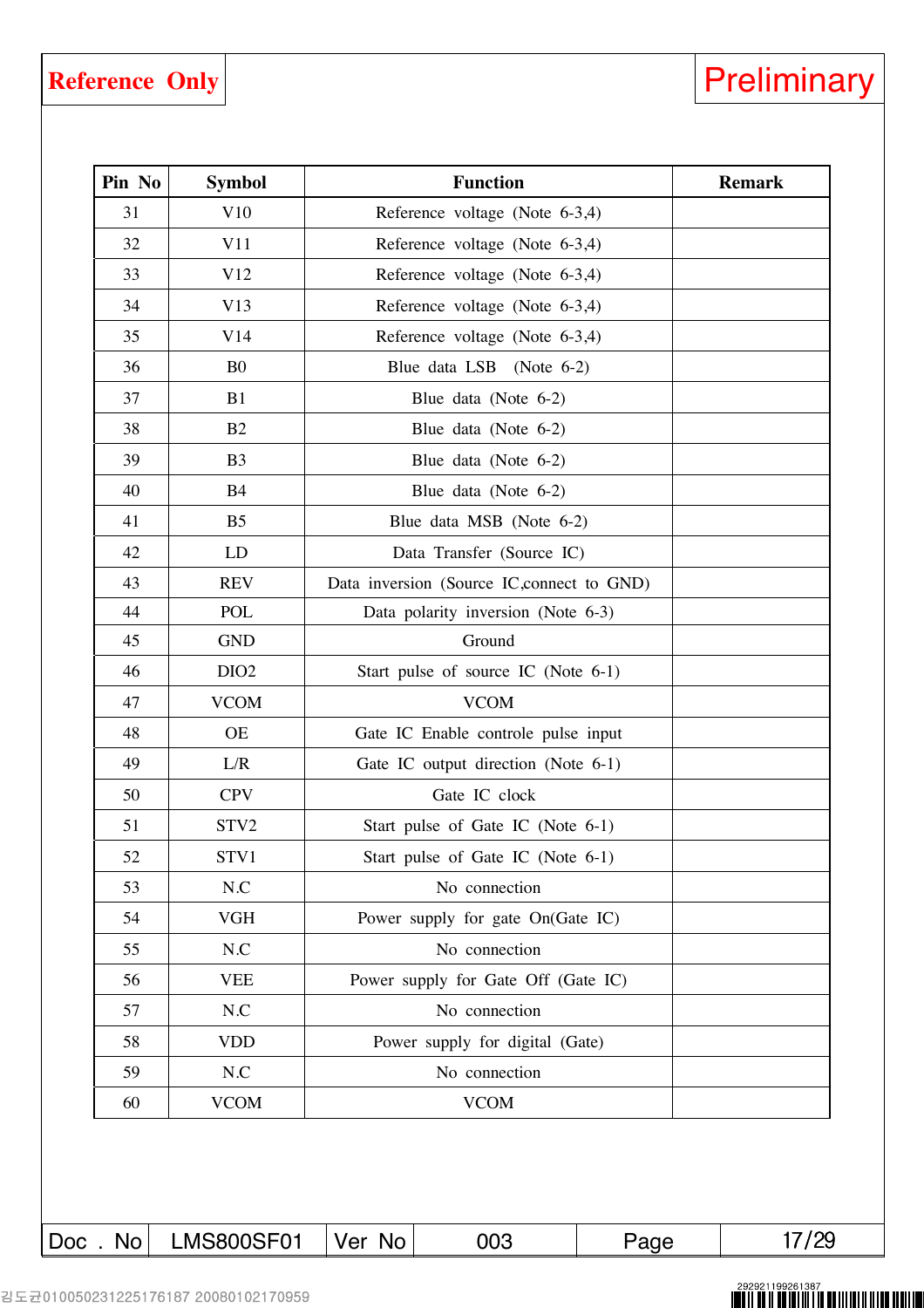### **Reference Only**

| Preliminary |  |  |
|-------------|--|--|
|             |  |  |
|             |  |  |
|             |  |  |

| Pin No | <b>Symbol</b>    |                                     | <b>Remark</b>                              |  |
|--------|------------------|-------------------------------------|--------------------------------------------|--|
| 31     | V10              |                                     | Reference voltage (Note 6-3,4)             |  |
| 32     | V11              | Reference voltage (Note 6-3,4)      |                                            |  |
| 33     | V12              | Reference voltage (Note 6-3,4)      |                                            |  |
| 34     | V13              |                                     | Reference voltage (Note 6-3,4)             |  |
| 35     | V14              |                                     | Reference voltage (Note 6-3,4)             |  |
| 36     | B <sub>0</sub>   |                                     | Blue data LSB (Note 6-2)                   |  |
| 37     | B1               |                                     | Blue data (Note 6-2)                       |  |
| 38     | B2               |                                     | Blue data (Note 6-2)                       |  |
| 39     | B <sub>3</sub>   |                                     | Blue data (Note $6-2$ )                    |  |
| 40     | <b>B4</b>        |                                     | Blue data (Note 6-2)                       |  |
| 41     | B <sub>5</sub>   |                                     | Blue data MSB (Note 6-2)                   |  |
| 42     | <b>LD</b>        |                                     | Data Transfer (Source IC)                  |  |
| 43     | <b>REV</b>       |                                     | Data inversion (Source IC, connect to GND) |  |
| 44     | POL              |                                     | Data polarity inversion (Note 6-3)         |  |
| 45     | <b>GND</b>       |                                     | Ground                                     |  |
| 46     | DIO <sub>2</sub> |                                     | Start pulse of source IC (Note 6-1)        |  |
| 47     | <b>VCOM</b>      |                                     |                                            |  |
| 48     | <b>OE</b>        | Gate IC Enable controle pulse input |                                            |  |
| 49     | L/R              | Gate IC output direction (Note 6-1) |                                            |  |
| 50     | <b>CPV</b>       |                                     | Gate IC clock                              |  |
| 51     | STV2             |                                     | Start pulse of Gate IC (Note 6-1)          |  |
| 52     | STV1             |                                     | Start pulse of Gate IC (Note 6-1)          |  |
| 53     | N.C              |                                     | No connection                              |  |
| 54     | <b>VGH</b>       |                                     | Power supply for gate On(Gate IC)          |  |
| 55     | $N.C$            |                                     | No connection                              |  |
| 56     | <b>VEE</b>       |                                     | Power supply for Gate Off (Gate IC)        |  |
| 57     | N.C              |                                     | No connection                              |  |
| 58     | <b>VDD</b>       | Power supply for digital (Gate)     |                                            |  |
| 59     | $N.C$            |                                     |                                            |  |
|        | <b>VCOM</b>      |                                     |                                            |  |

###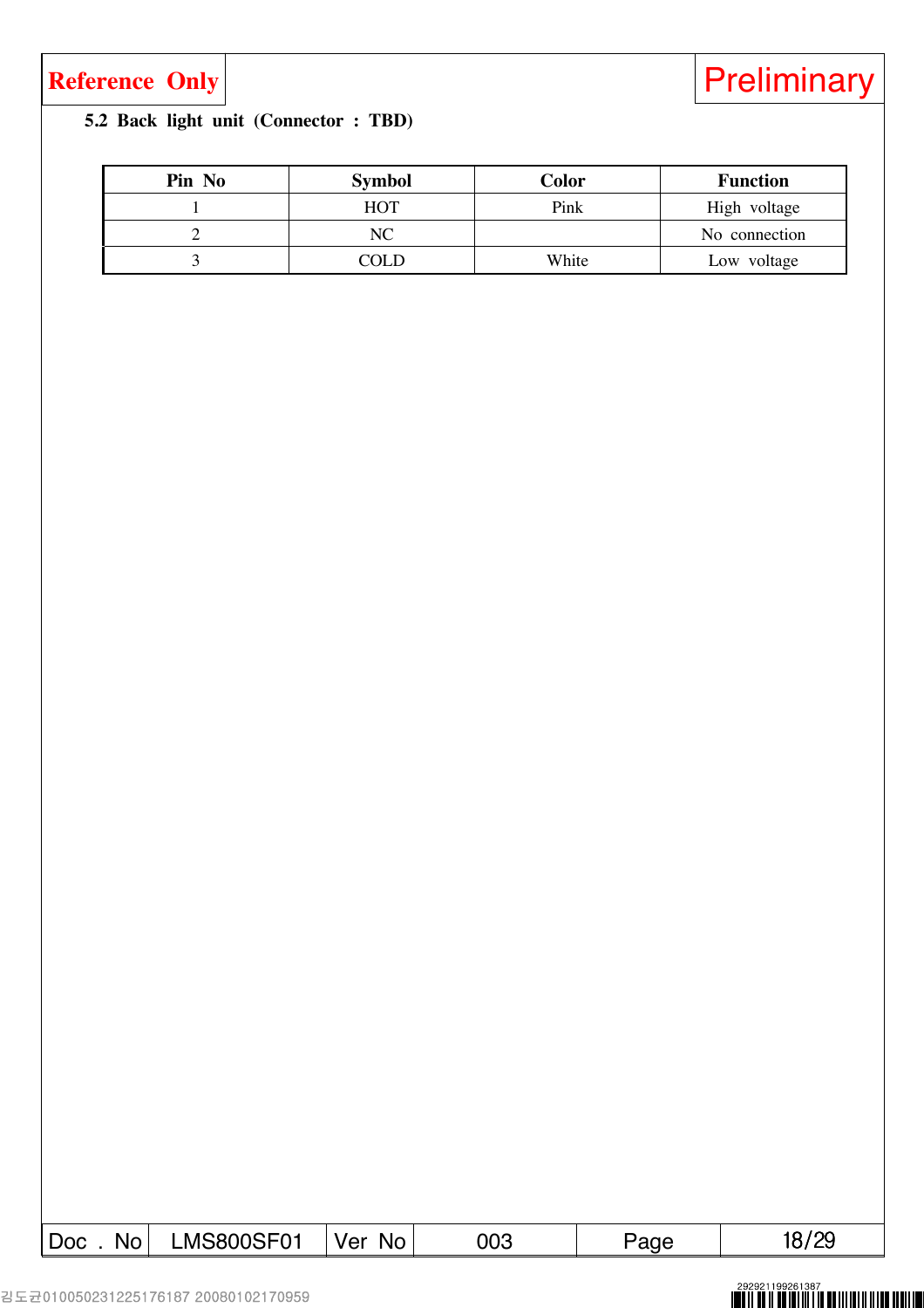### **5.2 Back light unit (Connector : TBD)**

| Pin No | <b>Symbol</b> | Color | <b>Function</b> |
|--------|---------------|-------|-----------------|
|        | НОТ           | Pink  | High voltage    |
|        | NС            |       | No connection   |
|        | COLD          | White | Low voltage     |

| <b>LMS800SF01</b><br>No.<br>No.<br>-ver<br>∣ Doc | 003 | aue. |  |
|--------------------------------------------------|-----|------|--|
|--------------------------------------------------|-----|------|--|

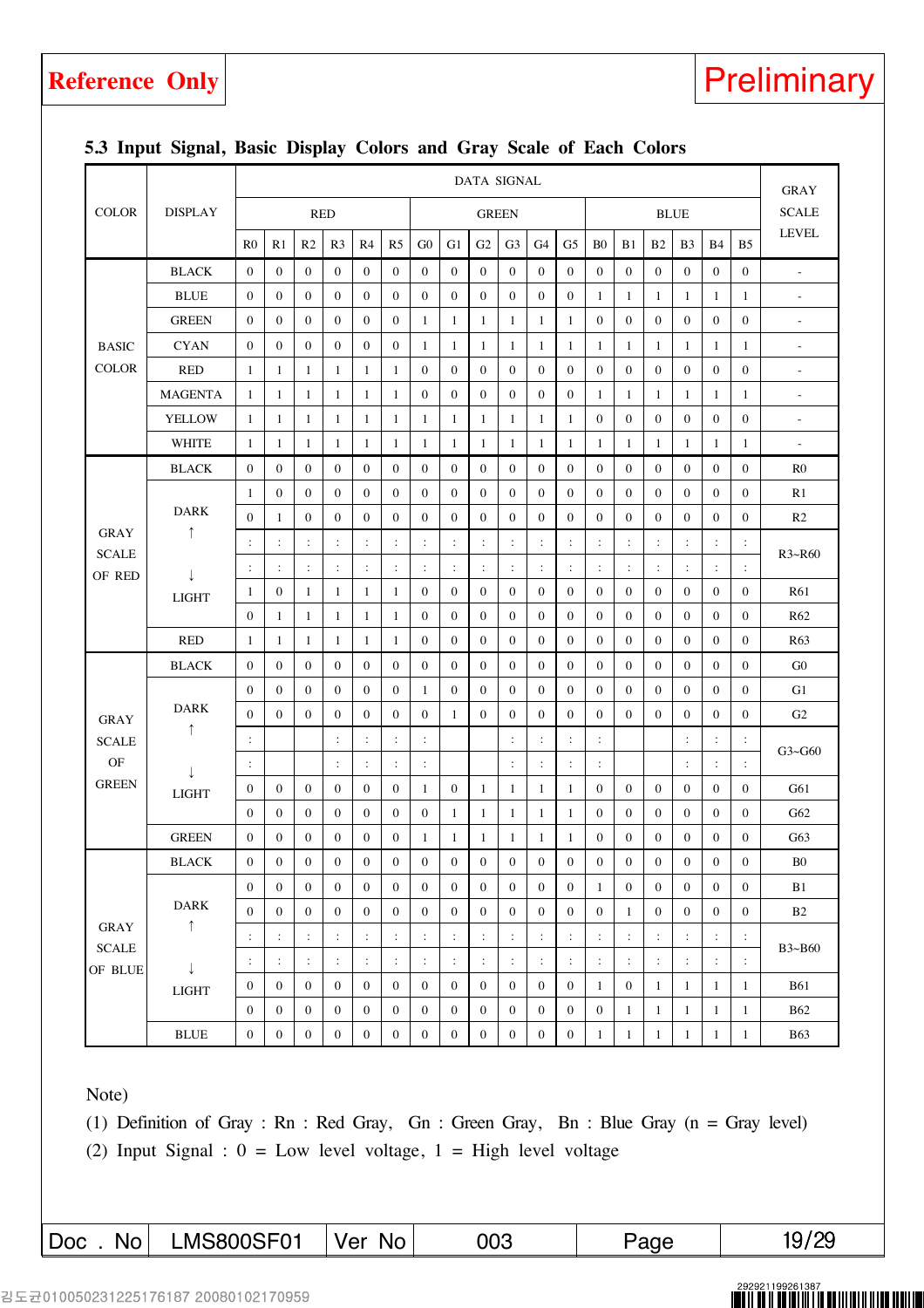|              |                              | <b>DATA SIGNAL</b> |                  |                  |                      |                      |                  |                  |                  |                  |                      |                      |                  |                      |                  |                      |                      |                      |                      |                              |
|--------------|------------------------------|--------------------|------------------|------------------|----------------------|----------------------|------------------|------------------|------------------|------------------|----------------------|----------------------|------------------|----------------------|------------------|----------------------|----------------------|----------------------|----------------------|------------------------------|
|              |                              |                    |                  |                  |                      |                      |                  |                  |                  |                  |                      |                      |                  |                      |                  |                      |                      |                      |                      | <b>GRAY</b>                  |
| <b>COLOR</b> | <b>DISPLAY</b>               |                    |                  | <b>RED</b>       |                      |                      |                  |                  |                  | <b>GREEN</b>     |                      |                      |                  |                      |                  |                      | <b>BLUE</b>          |                      |                      | <b>SCALE</b><br><b>LEVEL</b> |
|              |                              | $_{\rm R0}$        | R1               | R <sub>2</sub>   | R <sub>3</sub>       | R4                   | R <sub>5</sub>   | G <sub>0</sub>   | G1               | G2               | G <sub>3</sub>       | G4                   | G5               | B <sub>0</sub>       | B1               | B2                   | B <sub>3</sub>       | <b>B</b> 4           | B <sub>5</sub>       |                              |
|              | <b>BLACK</b>                 | $\mathbf{0}$       | $\boldsymbol{0}$ | $\overline{0}$   | $\mathbf{0}$         | $\boldsymbol{0}$     | $\overline{0}$   | $\overline{0}$   | $\mathbf{0}$     | $\mathbf{0}$     | $\mathbf{0}$         | $\overline{0}$       | $\boldsymbol{0}$ | $\overline{0}$       | $\mathbf{0}$     | $\mathbf{0}$         | $\overline{0}$       | $\mathbf{0}$         | $\overline{0}$       | $\equiv$                     |
|              | <b>BLUE</b>                  | $\boldsymbol{0}$   | $\boldsymbol{0}$ | $\boldsymbol{0}$ | $\boldsymbol{0}$     | $\boldsymbol{0}$     | $\boldsymbol{0}$ | $\boldsymbol{0}$ | $\boldsymbol{0}$ | $\boldsymbol{0}$ | $\boldsymbol{0}$     | $\mathbf{0}$         | $\boldsymbol{0}$ | 1                    | 1                | $\mathbf{1}$         | 1                    | 1                    | 1                    | $\sim$                       |
|              | <b>GREEN</b>                 | $\boldsymbol{0}$   | $\boldsymbol{0}$ | $\boldsymbol{0}$ | $\mathbf{0}$         | $\boldsymbol{0}$     | $\boldsymbol{0}$ | $\mathbf{1}$     | $\mathbf{1}$     | $\mathbf{1}$     | $\mathbf{1}$         | $\mathbf{1}$         | 1                | $\boldsymbol{0}$     | $\boldsymbol{0}$ | $\boldsymbol{0}$     | $\boldsymbol{0}$     | $\mathbf{0}$         | $\boldsymbol{0}$     | ÷,                           |
| <b>BASIC</b> | <b>CYAN</b>                  | $\boldsymbol{0}$   | 0                | $\boldsymbol{0}$ | $\boldsymbol{0}$     | 0                    | $\bf{0}$         | 1                | -1               | $\mathbf{1}$     | 1                    | $\mathbf{1}$         | $\mathbf{1}$     | $\mathbf{1}$         | 1                | $\mathbf{1}$         | 1                    | 1                    | $\mathbf{1}$         | $\blacksquare$               |
| <b>COLOR</b> | <b>RED</b>                   | $\mathbf{1}$       | 1                | 1                | 1                    | 1                    | 1                | $\boldsymbol{0}$ | $\boldsymbol{0}$ | $\mathbf{0}$     | $\mathbf{0}$         | $\overline{0}$       | $\boldsymbol{0}$ | $\boldsymbol{0}$     | $\boldsymbol{0}$ | $\boldsymbol{0}$     | $\mathbf{0}$         | $\boldsymbol{0}$     | $\boldsymbol{0}$     | $\equiv$                     |
|              | <b>MAGENTA</b>               | $\mathbf{1}$       | $\mathbf{1}$     | $\mathbf{1}$     | $\mathbf{1}$         | $\mathbf{1}$         | $\mathbf{1}$     | $\boldsymbol{0}$ | $\boldsymbol{0}$ | $\boldsymbol{0}$ | $\boldsymbol{0}$     | $\mathbf{0}$         | $\boldsymbol{0}$ | $\mathbf{1}$         | $\mathbf{1}$     | $\mathbf{1}$         | $\mathbf{1}$         | 1                    | $\mathbf{1}$         | $\overline{a}$               |
|              | <b>YELLOW</b>                | 1                  | 1                | 1                | 1                    | 1                    | 1                | 1                | -1               | 1                | 1                    | 1                    | $\mathbf{1}$     | $\mathbf{0}$         | $\mathbf{0}$     | $\mathbf{0}$         | $\mathbf{0}$         | $\mathbf{0}$         | $\mathbf{0}$         | $\blacksquare$               |
|              | <b>WHITE</b>                 | $\mathbf{1}$       | $\mathbf{1}$     | $\mathbf{1}$     | $\mathbf{1}$         | $\mathbf{1}$         | $\mathbf{1}$     | $\mathbf{1}$     | $\mathbf{1}$     | $\mathbf{1}$     | 1                    | $\mathbf{1}$         | 1                | 1                    | $\mathbf{1}$     | $\mathbf{1}$         | $\mathbf{1}$         | $\mathbf{1}$         | $\mathbf{1}$         | $\blacksquare$               |
|              | <b>BLACK</b>                 | $\boldsymbol{0}$   | $\boldsymbol{0}$ | $\boldsymbol{0}$ | $\boldsymbol{0}$     | 0                    | $\boldsymbol{0}$ | $\boldsymbol{0}$ | $\boldsymbol{0}$ | $\boldsymbol{0}$ | $\boldsymbol{0}$     | $\overline{0}$       | $\bf{0}$         | $\boldsymbol{0}$     | $\boldsymbol{0}$ | $\boldsymbol{0}$     | $\overline{0}$       | $\boldsymbol{0}$     | 0                    | R <sub>0</sub>               |
|              |                              | 1                  | $\mathbf{0}$     | $\mathbf{0}$     | $\mathbf{0}$         | $\boldsymbol{0}$     | $\mathbf{0}$     | $\mathbf{0}$     | $\mathbf{0}$     | $\mathbf{0}$     | $\mathbf{0}$         | $\overline{0}$       | $\boldsymbol{0}$ | $\mathbf{0}$         | $\mathbf{0}$     | $\mathbf{0}$         | $\mathbf{0}$         | $\mathbf{0}$         | $\mathbf{0}$         | R1                           |
| <b>GRAY</b>  | <b>DARK</b><br>↑             | $\boldsymbol{0}$   | $\mathbf{1}$     | $\mathbf{0}$     | $\mathbf{0}$         | $\boldsymbol{0}$     | $\boldsymbol{0}$ | $\boldsymbol{0}$ | $\boldsymbol{0}$ | $\boldsymbol{0}$ | $\mathbf{0}$         | $\boldsymbol{0}$     | $\boldsymbol{0}$ | $\boldsymbol{0}$     | $\mathbf{0}$     | $\boldsymbol{0}$     | $\mathbf{0}$         | $\boldsymbol{0}$     | 0                    | R <sub>2</sub>               |
| <b>SCALE</b> |                              | $\ddot{\cdot}$     | $\ddot{\cdot}$   | $\ddot{\cdot}$   | $\ddot{\phantom{a}}$ | $\ddot{\phantom{a}}$ | $\ddot{\cdot}$   | :                | $\ddot{\cdot}$   | $\ddot{\cdot}$   | $\ddot{\phantom{a}}$ | $\ddot{\phantom{a}}$ | $\ddot{\cdot}$   | $\ddot{\phantom{a}}$ | $\ddot{\cdot}$   | $\ddot{\phantom{a}}$ | $\ddot{\cdot}$       | $\ddot{\cdot}$       | $\ddot{\phantom{a}}$ | R3~R60                       |
| OF RED       | $\downarrow$<br><b>LIGHT</b> | ÷                  | $\ddot{\cdot}$   | $\ddot{\cdot}$   | $\ddot{\cdot}$       | $\ddot{\phantom{a}}$ | $\ddot{\cdot}$   | $\ddot{\cdot}$   | $\ddot{\cdot}$   | $\ddot{\cdot}$   | $\ddot{\phantom{a}}$ | $\ddot{\cdot}$       | $\ddot{\cdot}$   | $\ddot{\cdot}$       | $\ddot{\cdot}$   | $\ddot{\cdot}$       | $\ddot{\phantom{a}}$ | ÷                    | $\ddot{\cdot}$       |                              |
|              |                              | $\mathbf{1}$       | $\bf{0}$         | 1                | 1                    | 1                    | 1                | $\bf{0}$         | $\bf{0}$         | $\bf{0}$         | $\bf{0}$             | 0                    | $\boldsymbol{0}$ | $\boldsymbol{0}$     | $\bf{0}$         | $\boldsymbol{0}$     | $\boldsymbol{0}$     | $\boldsymbol{0}$     | $\boldsymbol{0}$     | <b>R61</b>                   |
|              |                              | $\mathbf{0}$       | $\mathbf{1}$     | $\mathbf{1}$     | 1                    | $\mathbf{1}$         | $\mathbf{1}$     | $\boldsymbol{0}$ | $\boldsymbol{0}$ | $\boldsymbol{0}$ | $\mathbf{0}$         | $\boldsymbol{0}$     | $\boldsymbol{0}$ | $\boldsymbol{0}$     | $\mathbf{0}$     | $\boldsymbol{0}$     | $\mathbf{0}$         | $\boldsymbol{0}$     | $\boldsymbol{0}$     | R <sub>62</sub>              |
|              | <b>RED</b>                   | -1                 | 1                | 1                | $\mathbf{1}$         | 1                    | 1                | $\boldsymbol{0}$ | $\mathbf{0}$     | $\mathbf{0}$     | $\mathbf{0}$         | $\overline{0}$       | $\boldsymbol{0}$ | $\boldsymbol{0}$     | $\mathbf{0}$     | $\boldsymbol{0}$     | $\mathbf{0}$         | $\mathbf{0}$         | $\boldsymbol{0}$     | R <sub>63</sub>              |
|              | <b>BLACK</b>                 | $\boldsymbol{0}$   | $\boldsymbol{0}$ | $\mathbf{0}$     | $\mathbf{0}$         | $\boldsymbol{0}$     | $\mathbf{0}$     | $\mathbf{0}$     | $\mathbf{0}$     | $\mathbf{0}$     | $\mathbf{0}$         | $\overline{0}$       | $\boldsymbol{0}$ | $\boldsymbol{0}$     | $\mathbf{0}$     | $\mathbf{0}$         | $\mathbf{0}$         | $\mathbf{0}$         | $\boldsymbol{0}$     | G <sub>0</sub>               |
|              |                              | $\bf{0}$           | $\bf{0}$         | $\boldsymbol{0}$ | $\boldsymbol{0}$     | 0                    | $\bf{0}$         | 1                | $\boldsymbol{0}$ | $\boldsymbol{0}$ | $\bf{0}$             | 0                    | 0                | $\boldsymbol{0}$     | $\bf{0}$         | $\boldsymbol{0}$     | $\boldsymbol{0}$     | $\boldsymbol{0}$     | 0                    | G1                           |
| <b>GRAY</b>  | <b>DARK</b><br>$\uparrow$    | $\mathbf{0}$       | $\mathbf{0}$     | $\boldsymbol{0}$ | $\boldsymbol{0}$     | $\boldsymbol{0}$     | $\mathbf{0}$     | $\boldsymbol{0}$ | 1                | $\boldsymbol{0}$ | $\boldsymbol{0}$     | $\boldsymbol{0}$     | $\boldsymbol{0}$ | $\boldsymbol{0}$     | $\boldsymbol{0}$ | $\boldsymbol{0}$     | $\mathbf{0}$         | $\boldsymbol{0}$     | $\boldsymbol{0}$     | G2                           |
| <b>SCALE</b> |                              | $\ddot{\cdot}$     |                  |                  | $\ddot{\phantom{a}}$ | $\ddot{\cdot}$       | $\ddot{\cdot}$   | $\ddot{\cdot}$   |                  |                  | $\ddot{\phantom{a}}$ | $\ddot{\cdot}$       | $\ddot{\cdot}$   | $\ddot{\cdot}$       |                  |                      | $\ddot{\cdot}$       | $\ddot{\cdot}$       | $\ddot{\cdot}$       | $G3 \sim G60$                |
| OF           | $\downarrow$                 | $\ddot{\cdot}$     |                  |                  | $\ddot{\cdot}$       | $\ddot{\cdot}$       | $\ddot{\cdot}$   | $\ddot{\cdot}$   |                  |                  | $\ddot{\phantom{a}}$ | $\ddot{\cdot}$       | $\ddot{\cdot}$   | $\ddot{\cdot}$       |                  |                      | $\ddot{\cdot}$       | $\ddot{\phantom{a}}$ | $\ddot{\phantom{a}}$ |                              |
| <b>GREEN</b> | <b>LIGHT</b>                 | $\bf{0}$           | $\boldsymbol{0}$ | $\mathbf{0}$     | $\mathbf{0}$         | 0                    | $\boldsymbol{0}$ | 1                | $\boldsymbol{0}$ | $\mathbf{1}$     | $\mathbf{1}$         | $\mathbf{1}$         | 1                | $\boldsymbol{0}$     | $\mathbf{0}$     | $\mathbf{0}$         | $\mathbf{0}$         | $\mathbf{0}$         | $\boldsymbol{0}$     | G61                          |
|              |                              | $\boldsymbol{0}$   | $\bf{0}$         | $\boldsymbol{0}$ | $\bf{0}$             | 0                    | $\bf{0}$         | $\boldsymbol{0}$ | -1               | $\mathbf{1}$     | $\mathbf{1}$         | $\mathbf{1}$         | 1                | $\boldsymbol{0}$     | $\boldsymbol{0}$ | $\boldsymbol{0}$     | $\boldsymbol{0}$     | $\boldsymbol{0}$     | 0                    | G62                          |
|              | <b>GREEN</b>                 | $\mathbf{0}$       | $\boldsymbol{0}$ | $\boldsymbol{0}$ | $\mathbf{0}$         | 0                    | $\mathbf{0}$     | 1                | 1                | 1                | $\mathbf{1}$         | 1                    | 1                | $\boldsymbol{0}$     | $\mathbf{0}$     | $\mathbf{0}$         | $\mathbf{0}$         | $\mathbf{0}$         | $\mathbf{0}$         | G63                          |
|              | <b>BLACK</b>                 | $\boldsymbol{0}$   | $\boldsymbol{0}$ | $\boldsymbol{0}$ | $\boldsymbol{0}$     | $\boldsymbol{0}$     | $\boldsymbol{0}$ | $\boldsymbol{0}$ | $\boldsymbol{0}$ | $\boldsymbol{0}$ | $\boldsymbol{0}$     | $\boldsymbol{0}$     | $\boldsymbol{0}$ | $\boldsymbol{0}$     | $\boldsymbol{0}$ | $\boldsymbol{0}$     | $\boldsymbol{0}$     | $\boldsymbol{0}$     | $\boldsymbol{0}$     | B <sub>0</sub>               |
|              |                              | $\boldsymbol{0}$   | $\boldsymbol{0}$ | $\boldsymbol{0}$ | $\boldsymbol{0}$     | $\boldsymbol{0}$     | $\boldsymbol{0}$ | $\boldsymbol{0}$ | $\boldsymbol{0}$ | $\boldsymbol{0}$ | $\boldsymbol{0}$     | $\boldsymbol{0}$     | $\boldsymbol{0}$ | $\mathbf{1}$         | $\boldsymbol{0}$ | $\boldsymbol{0}$     | $\boldsymbol{0}$     | $\boldsymbol{0}$     | 0                    | B1                           |
| <b>GRAY</b>  | <b>DARK</b><br>$\uparrow$    | $\boldsymbol{0}$   | $\boldsymbol{0}$ | $\boldsymbol{0}$ | $\boldsymbol{0}$     | 0                    | $\bf{0}$         | $\boldsymbol{0}$ | $\boldsymbol{0}$ | $\boldsymbol{0}$ | $\boldsymbol{0}$     | $\bf{0}$             | $\boldsymbol{0}$ | $\boldsymbol{0}$     | $\mathbf{1}$     | $\boldsymbol{0}$     | $\boldsymbol{0}$     | $\boldsymbol{0}$     | $\boldsymbol{0}$     | B2                           |
| <b>SCALE</b> |                              | $\ddot{\cdot}$     | $\colon$         | $\ddot{\cdot}$   | $\ddot{\cdot}$       | :                    | $\ddot{\cdot}$   | $\ddot{\cdot}$   | $\ddot{\cdot}$   | $\ddot{\cdot}$   | $\ddot{\phantom{a}}$ | $\ddot{\phantom{a}}$ | $\ddot{\cdot}$   | $\ddot{\cdot}$       | $\ddot{\cdot}$   | $\ddot{\cdot}$       | $\ddot{\cdot}$       | $\ddot{\phantom{a}}$ | $\ddot{\phantom{a}}$ | B3~B60                       |
| OF BLUE      | $\downarrow$                 | $\ddot{\cdot}$     | $\ddot{\cdot}$   | $\colon$         | $\ddot{\cdot}$       | $\ddot{\phantom{a}}$ | $\vdots$         | $\ddot{\cdot}$   | $\ddot{\cdot}$   | $\ddot{\cdot}$   | $\ddot{\cdot}$       | $\ddot{\cdot}$       | $\ddot{\cdot}$   | $\ddot{\cdot}$       | $\ddot{\cdot}$   | $\ddot{\cdot}$       | $\ddot{\cdot}$       | $\ddot{\cdot}$       | $\ddot{\cdot}$       |                              |
|              | <b>LIGHT</b>                 | $\boldsymbol{0}$   | $\boldsymbol{0}$ | $\boldsymbol{0}$ | $\boldsymbol{0}$     | $\boldsymbol{0}$     | $\boldsymbol{0}$ | $\boldsymbol{0}$ | $\boldsymbol{0}$ | $\boldsymbol{0}$ | $\boldsymbol{0}$     | $\boldsymbol{0}$     | $\boldsymbol{0}$ | $\mathbf{1}$         | $\boldsymbol{0}$ | $\mathbf{1}$         | -1                   | $\mathbf{1}$         | 1                    | <b>B61</b>                   |
|              |                              | $\boldsymbol{0}$   | $\bf{0}$         | $\boldsymbol{0}$ | $\boldsymbol{0}$     | 0                    | $\bf{0}$         | $\boldsymbol{0}$ | $\boldsymbol{0}$ | $\boldsymbol{0}$ | $\boldsymbol{0}$     | $\bf{0}$             | $\boldsymbol{0}$ | $\boldsymbol{0}$     | $\mathbf{1}$     | $\mathbf{1}$         | $\mathbf{1}$         | $\mathbf{1}$         | 1                    | <b>B62</b>                   |
|              | <b>BLUE</b>                  | $\boldsymbol{0}$   | 0                | $\boldsymbol{0}$ | 0                    | 0                    | $\boldsymbol{0}$ | $\boldsymbol{0}$ | $\boldsymbol{0}$ | $\boldsymbol{0}$ | $\boldsymbol{0}$     | 0                    | $\boldsymbol{0}$ | $\mathbf{1}$         | 1                | $\mathbf{1}$         | $\mathbf{1}$         | $\mathbf{1}$         | $\mathbf{1}$         | <b>B63</b>                   |

### **5.3 Input Signal, Basic Display Colors and Gray Scale of Each Colors**

Note)

(1) Definition of Gray : Rn : Red Gray, Gn : Green Gray, Bn : Blue Gray (n = Gray level) (2) Input Signal :  $0 = Low$  level voltage,  $1 = High$  level voltage

 $\text{Doc}$  . No LMS800SF01 Ver No 003 Page 19/29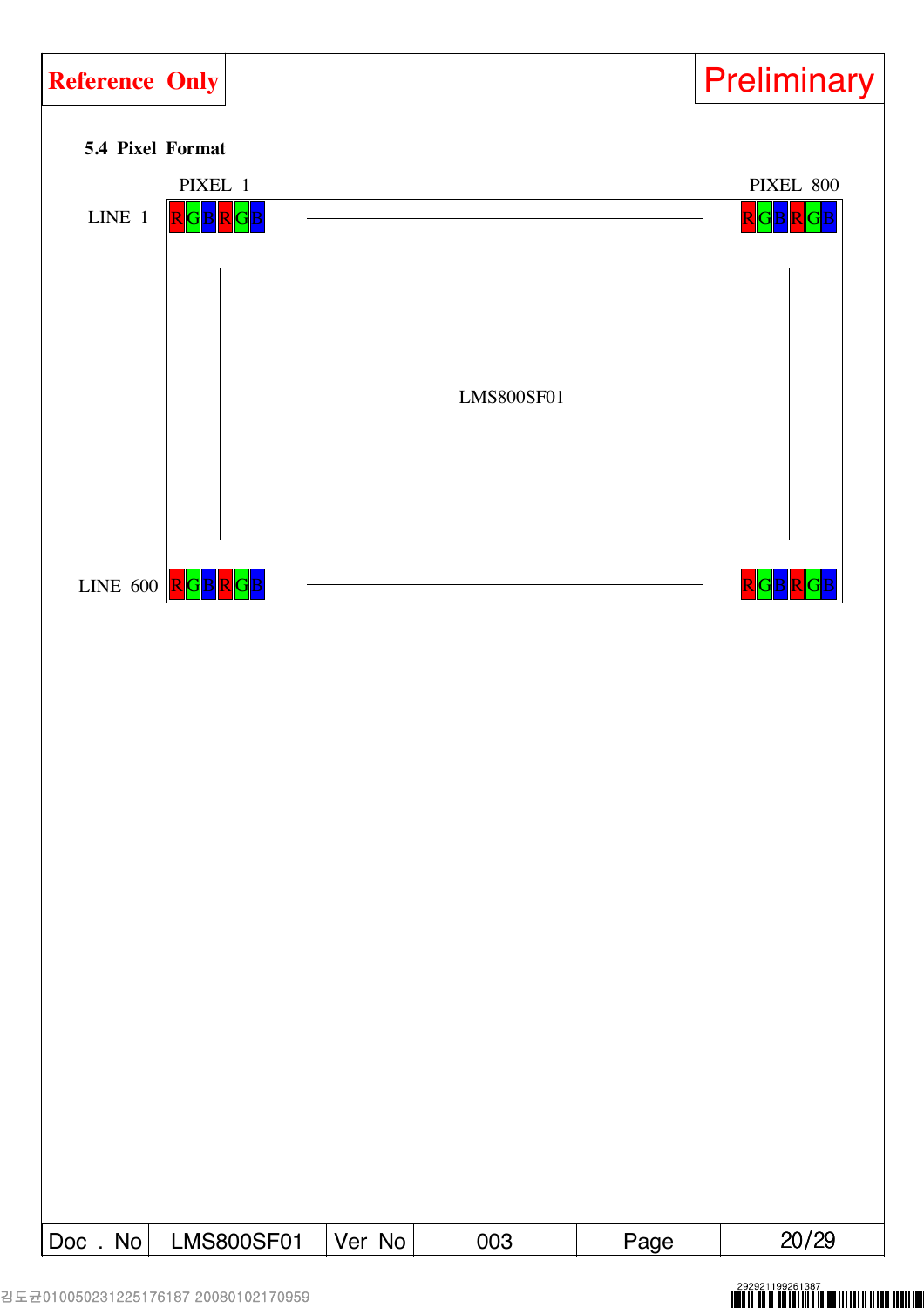

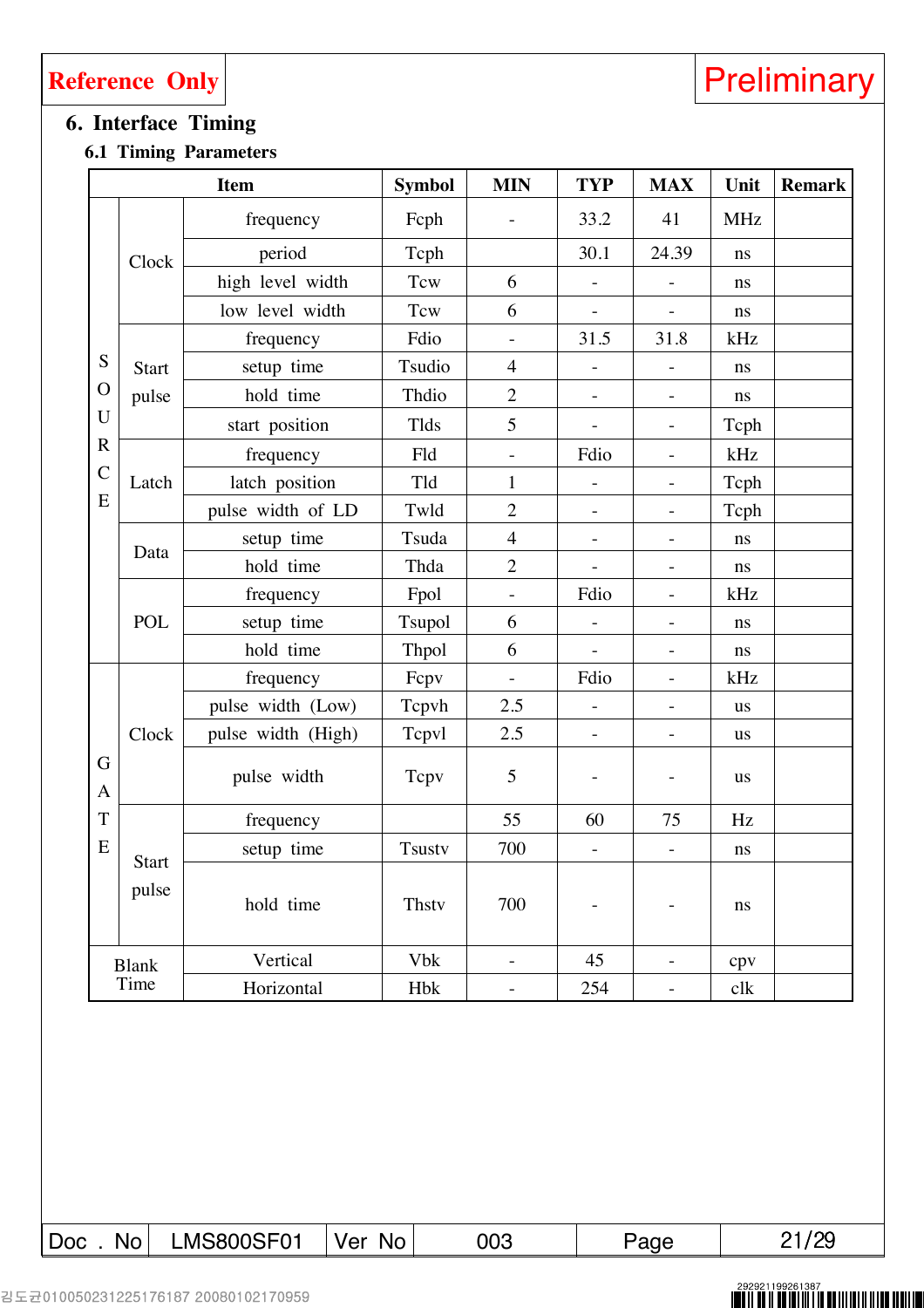### **6. Interface Timing**

### **6.1 Timing Parameters**

|                   |                       | <b>Item</b>        | <b>Symbol</b> | <b>MIN</b>               | <b>TYP</b>               | <b>MAX</b>                   | Unit       | <b>Remark</b> |
|-------------------|-----------------------|--------------------|---------------|--------------------------|--------------------------|------------------------------|------------|---------------|
|                   |                       | frequency          | Fcph          |                          | 33.2                     | 41                           | <b>MHz</b> |               |
|                   | Clock                 | period             | Tcph          |                          | 30.1                     | 24.39                        | ns         |               |
|                   |                       | high level width   | Tcw           | 6                        |                          |                              | ns         |               |
|                   |                       | low level width    | Tcw           | 6                        |                          |                              | $\bf ns$   |               |
|                   |                       | frequency          | Fdio          |                          | 31.5                     | 31.8                         | kHz        |               |
| S                 | <b>Start</b>          | setup time         | Tsudio        | $\overline{4}$           |                          | $\overline{\phantom{m}}$     | ns         |               |
| $\mathbf{O}$      | pulse                 | hold time          | Thdio         | $\overline{2}$           |                          | $\qquad \qquad -$            | ns         |               |
| U                 |                       | start position     | Tlds          | 5                        |                          | $\overline{\phantom{a}}$     | Tcph       |               |
| $\mathbf R$       |                       | frequency          | Fld           | $\qquad \qquad -$        | Fdio                     | $\qquad \qquad -$            | kHz        |               |
| $\mathcal{C}$     | Latch                 | latch position     | Tld           | $\mathbf{1}$             | $\overline{\phantom{m}}$ | $\overline{\phantom{0}}$     | Tcph       |               |
| E                 |                       | pulse width of LD  | Twld          | $\overline{2}$           | $\overline{\phantom{a}}$ | $\overline{\phantom{a}}$     | Tcph       |               |
|                   | Data                  | setup time         | Tsuda         | $\overline{4}$           | $\qquad \qquad -$        | $\qquad \qquad -$            | ns         |               |
|                   |                       | hold time          | Thda          | $\overline{2}$           |                          | $\qquad \qquad \blacksquare$ | ns         |               |
|                   |                       | frequency          | Fpol          | $\overline{\phantom{0}}$ | Fdio                     | $\qquad \qquad -$            | kHz        |               |
|                   | <b>POL</b>            | setup time         | Tsupol        | 6                        |                          | $\overline{\phantom{a}}$     | ns         |               |
|                   |                       | hold time          | Thpol         | 6                        | $\qquad \qquad -$        | $\qquad \qquad -$            | ns         |               |
|                   |                       | frequency          | Fepv          |                          | Fdio                     | $\overline{\phantom{a}}$     | kHz        |               |
|                   |                       | pulse width (Low)  | Tepvh         | 2.5                      | $\qquad \qquad -$        | $\overline{\phantom{a}}$     | <b>us</b>  |               |
|                   | Clock                 | pulse width (High) | Tepvl         | 2.5                      | $\overline{\phantom{a}}$ | $\overline{\phantom{a}}$     | <b>us</b>  |               |
| G<br>$\mathbf{A}$ |                       | pulse width        | Tcpv          | 5                        |                          |                              | <b>us</b>  |               |
| T                 |                       | frequency          |               | 55                       | 60                       | 75                           | Hz         |               |
| E                 |                       | setup time         | <b>Tsustv</b> | 700                      | $\overline{\phantom{a}}$ | $\overline{\phantom{a}}$     | ns         |               |
|                   | <b>Start</b><br>pulse | hold time          | <b>Thstv</b>  | 700                      | $\qquad \qquad -$        | $\overline{\phantom{a}}$     | ns         |               |
|                   | <b>Blank</b>          | Vertical           | <b>Vbk</b>    | $\overline{\phantom{0}}$ | 45                       | $\overline{\phantom{0}}$     | cpv        |               |
|                   | Time                  | Horizontal         | <b>Hbk</b>    | $\overline{\phantom{a}}$ | 254                      | $\overline{\phantom{0}}$     | clk        |               |
|                   |                       |                    |               |                          |                          |                              |            |               |

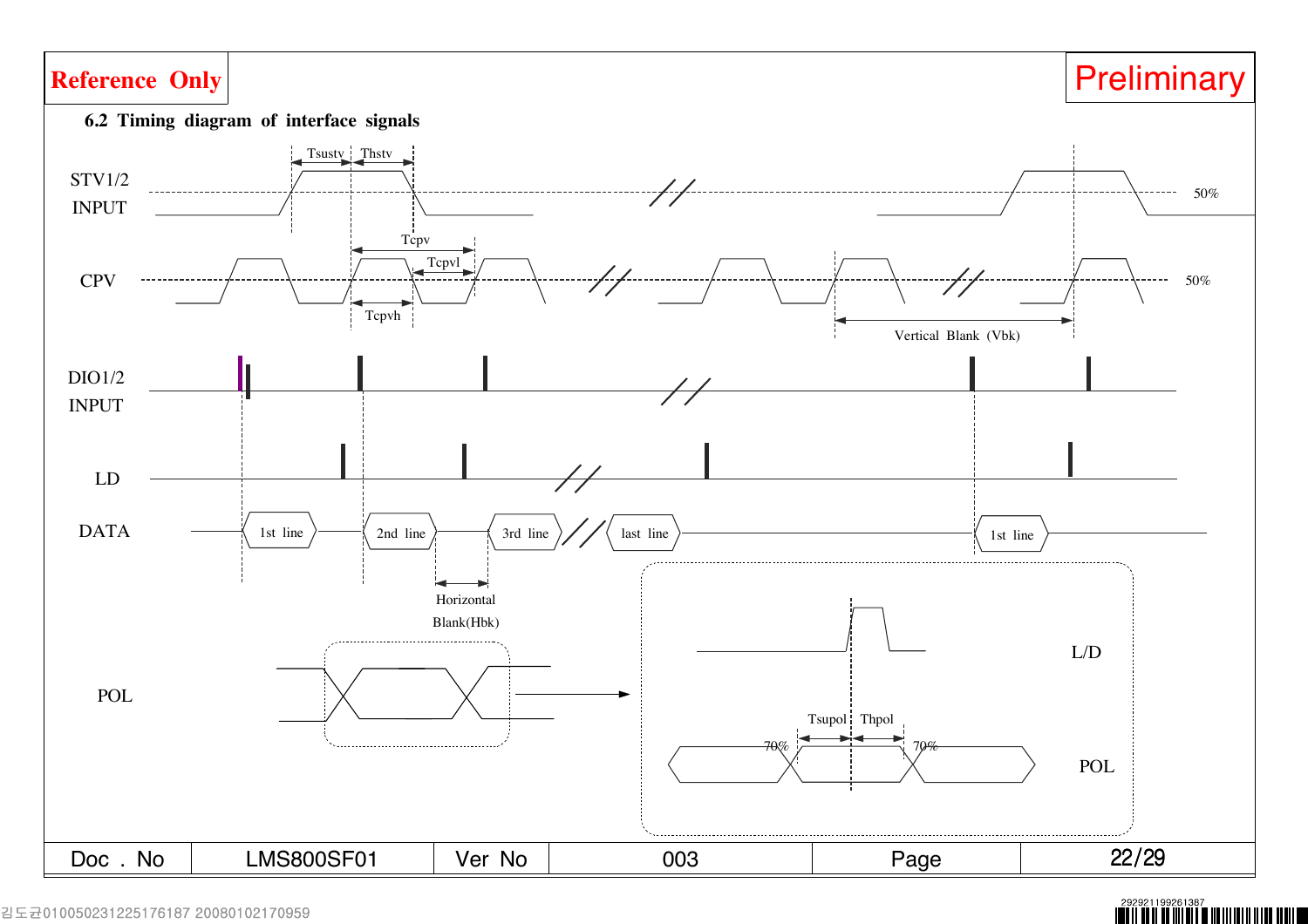

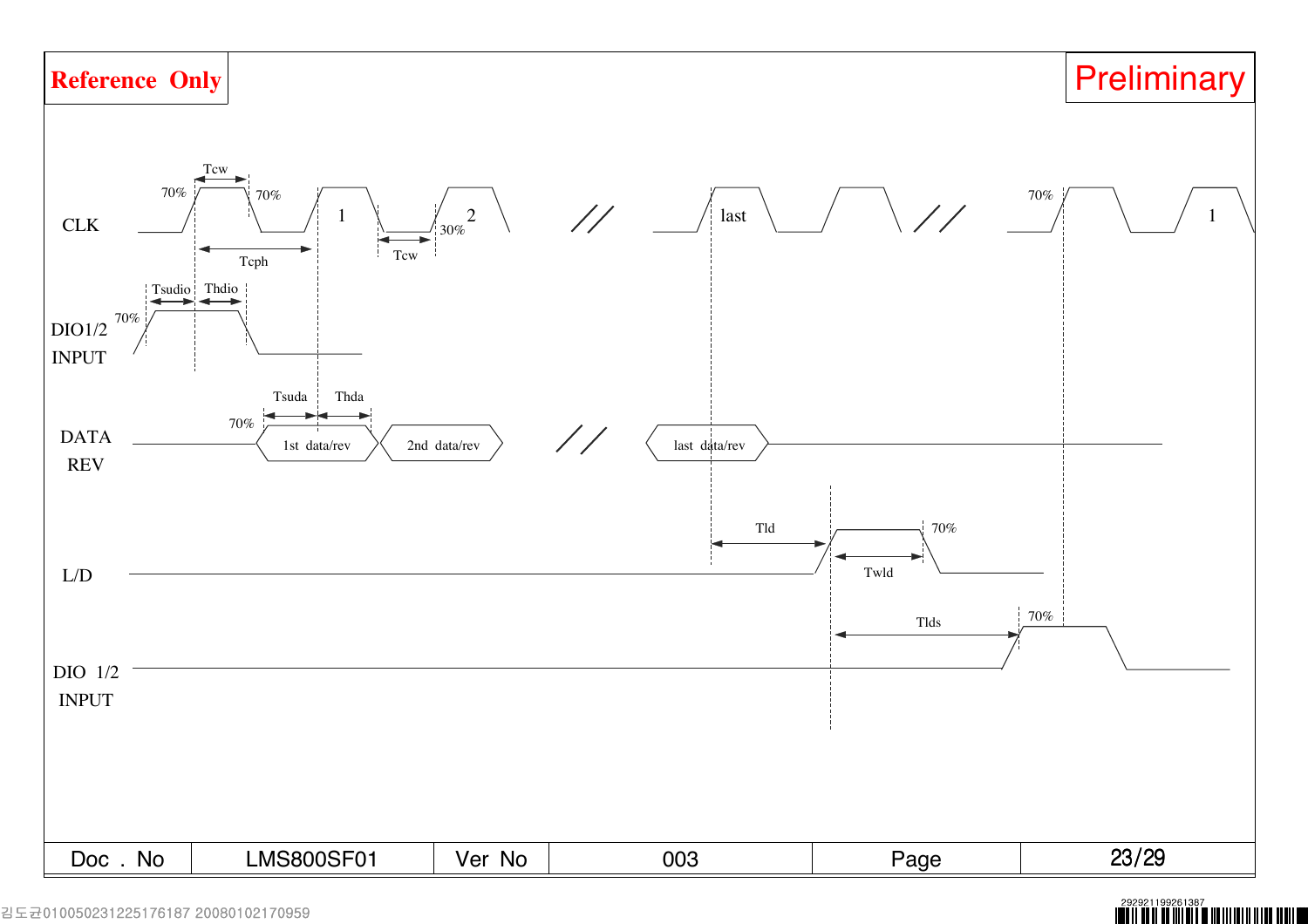

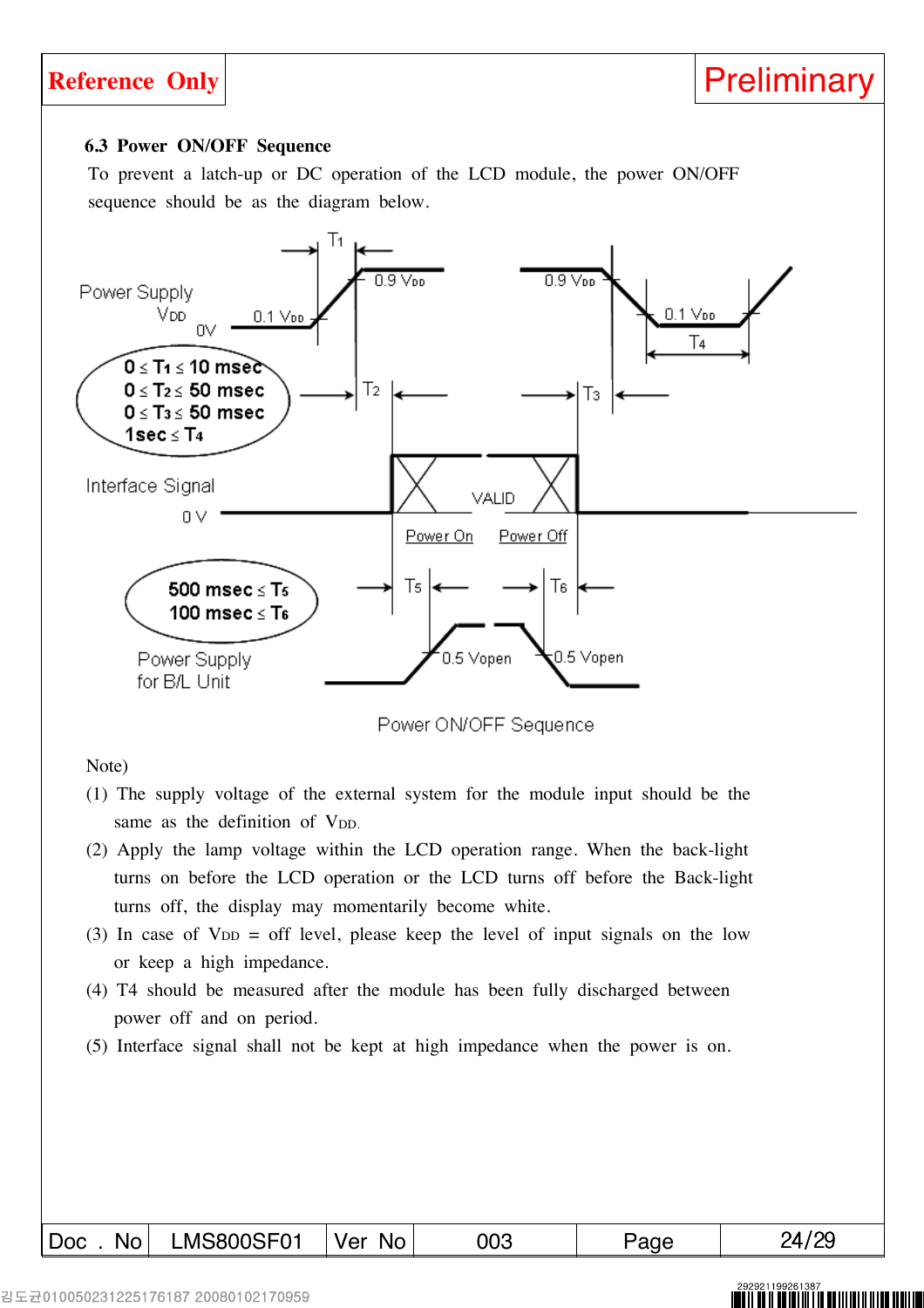### **6.3 Power ON/OFF Sequence**

To prevent a latch-up or DC operation of the LCD module, the power ON/OFF sequence should be as the diagram below.



Power ON/OFF Sequence

Note)

- (1) The supply voltage of the external system for the module input should be the same as the definition of V<sub>DD</sub>.
- (2) Apply the lamp voltage within the LCD operation range. When the back-light turns on before the LCD operation or the LCD turns off before the Back-light turns off, the display may momentarily become white.
- (3) In case of  $V_{DD} =$  off level, please keep the level of input signals on the low or keep a high impedance.
- (4) T4 should be measured after the module has been fully discharged between power off and on period.
- (5) Interface signal shall not be kept at high impedance when the power is on.

### Doc . No LMS800SF01 Ver No 003 Page 1 24/29

I IIII III I III IIII III III II IIII II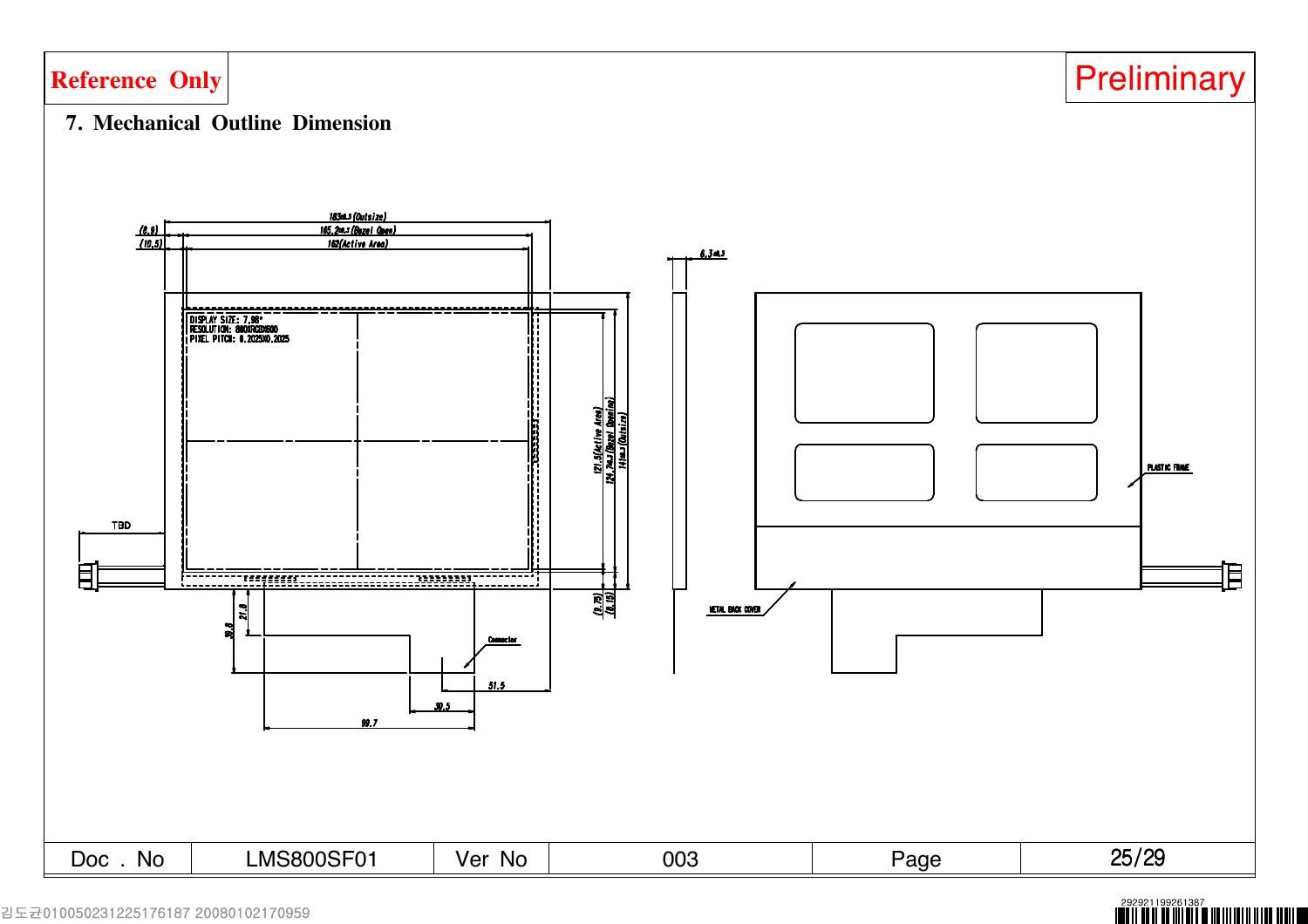

### 김도균010050231225176187 20080102170959

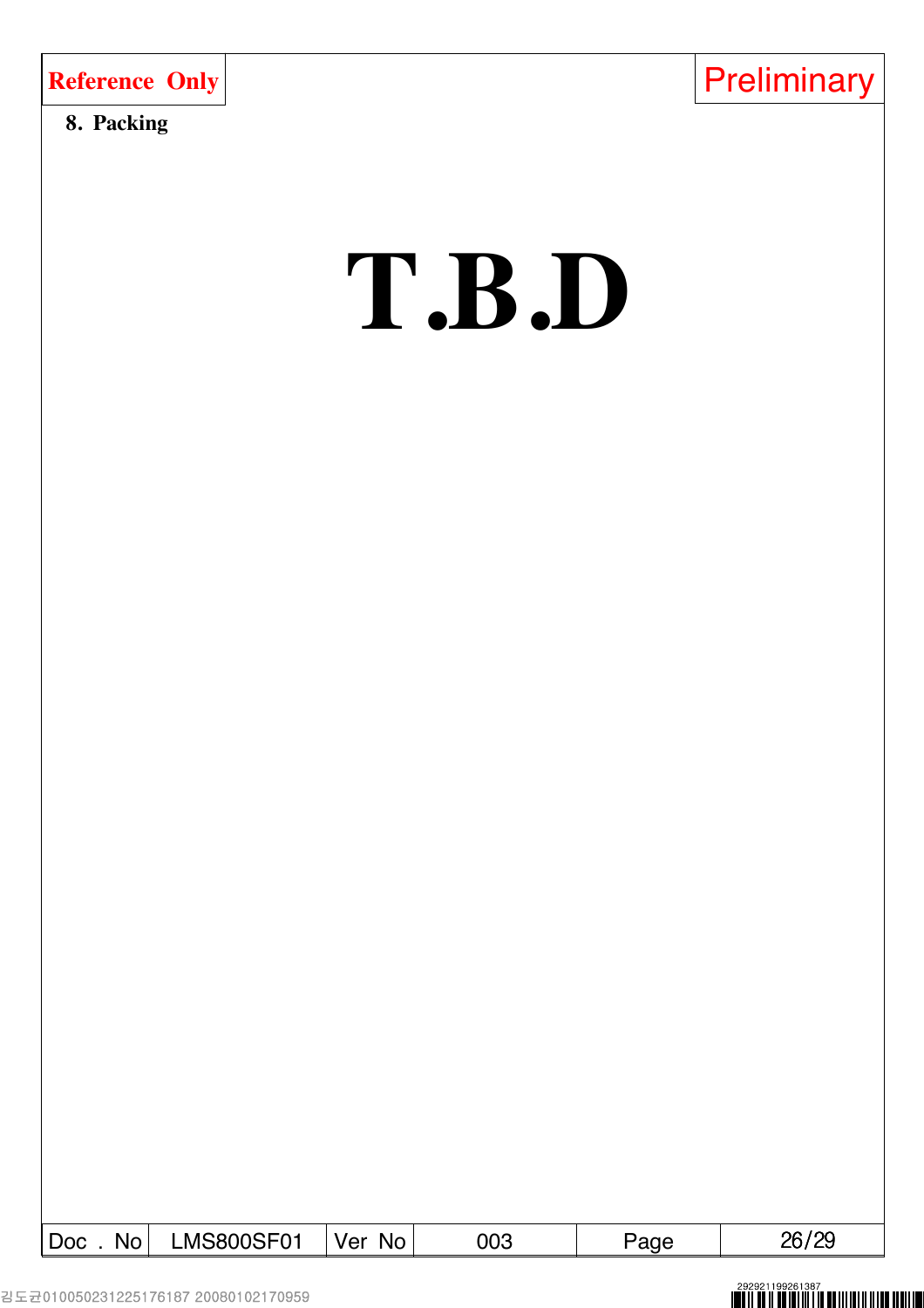| <b>Reference Only</b> |  |  |
|-----------------------|--|--|
|                       |  |  |

### **8. Packing**



# **T.B.D**

| <b>Doc</b><br>No. | <b>MS800SF01</b> | Ver<br>No. | 003 | age | 10c<br>ገድ<br>∟ט ו∪∟ |
|-------------------|------------------|------------|-----|-----|---------------------|
|                   |                  |            |     |     |                     |

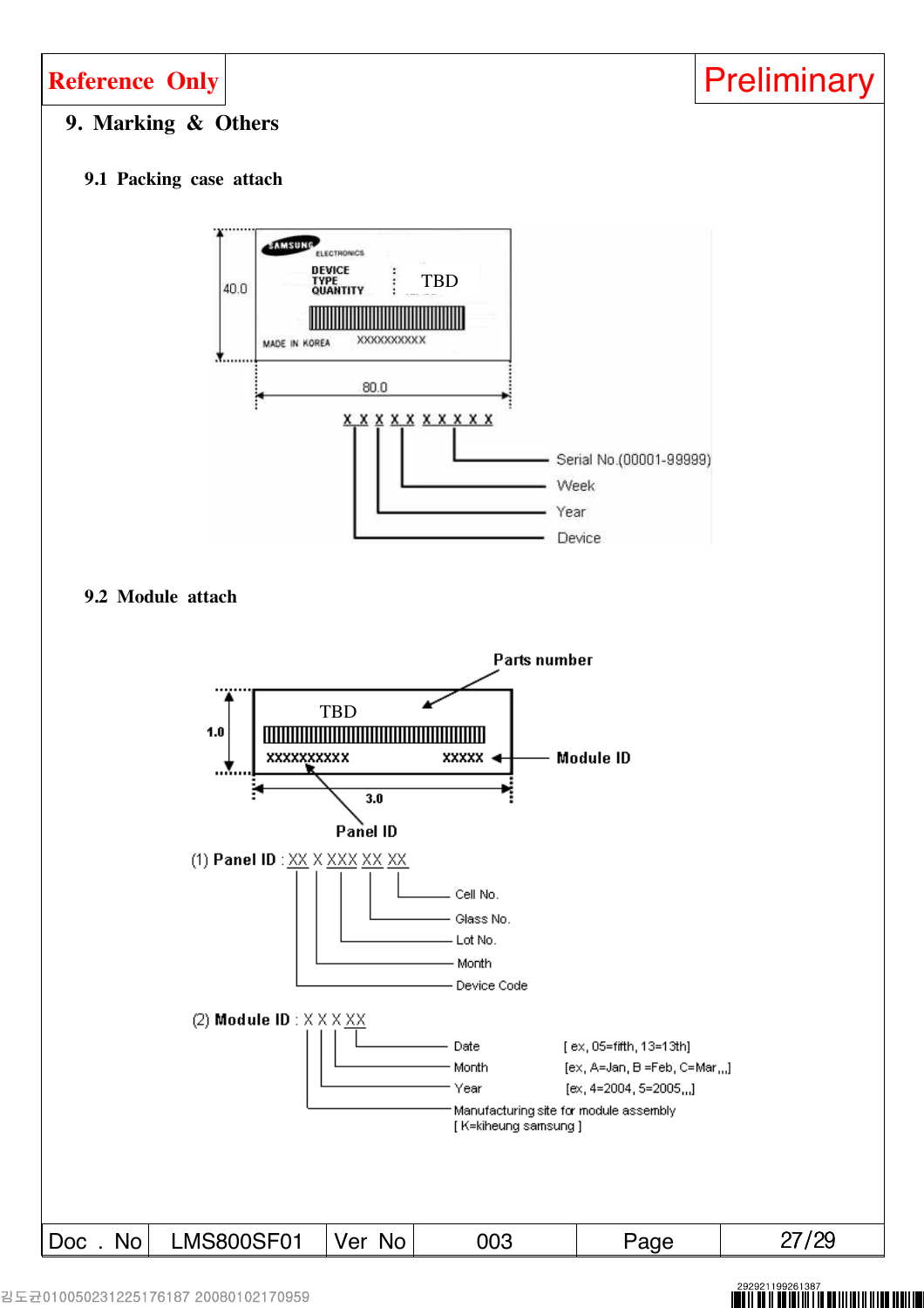

### **9. Marking & Others**

### **9.1 Packing case attach**



**9.2 Module attach**

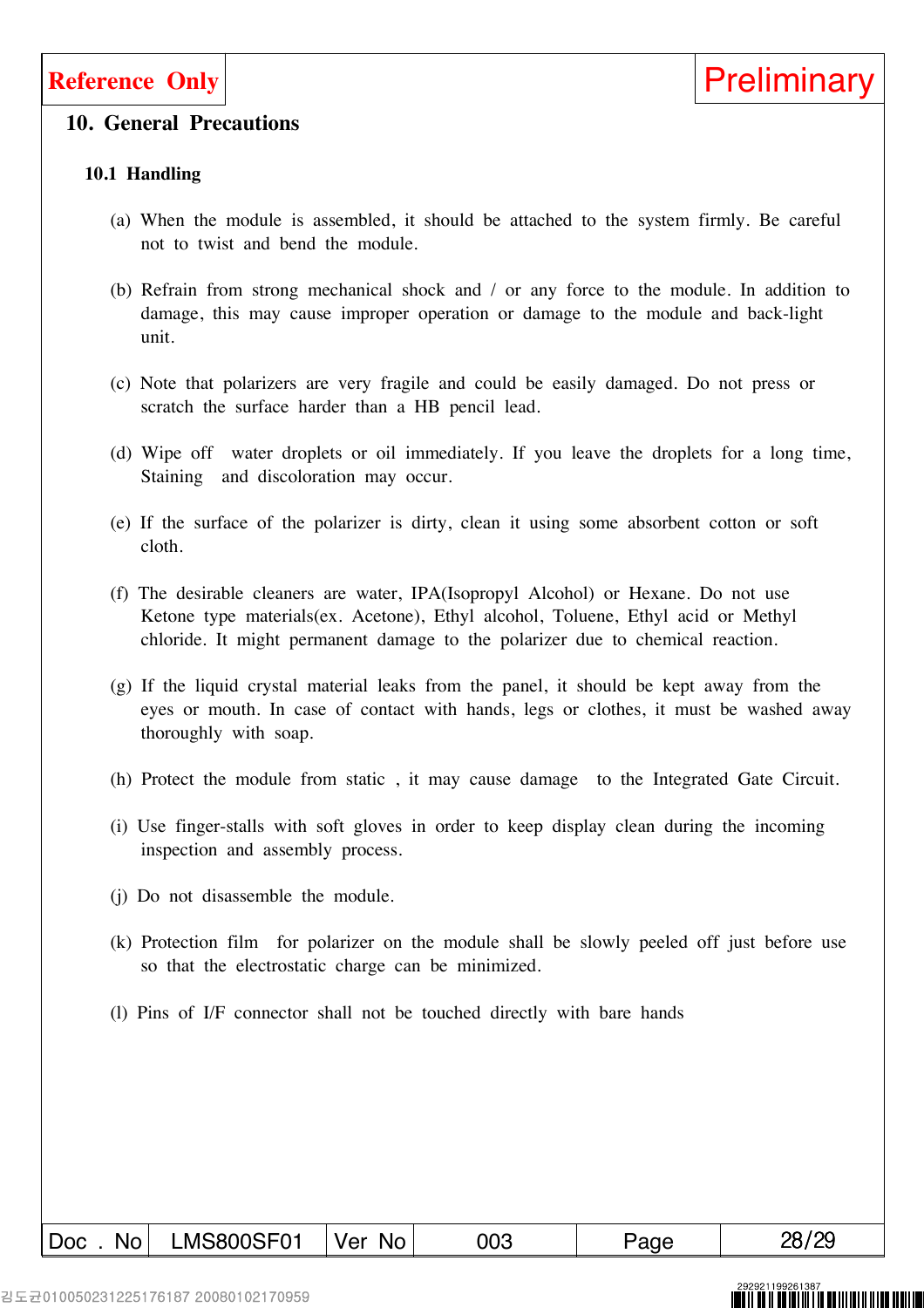### **10. General Precautions**

### **10.1 Handling**

- (a) When the module is assembled, it should be attached to the system firmly. Be careful not to twist and bend the module.
- (b) Refrain from strong mechanical shock and / or any force to the module. In addition to damage, this may cause improper operation or damage to the module and back-light unit.
- (c) Note that polarizers are very fragile and could be easily damaged. Do not press or scratch the surface harder than a HB pencil lead.
- (d) Wipe off water droplets or oil immediately. If you leave the droplets for a long time, Staining and discoloration may occur.
- (e) If the surface of the polarizer is dirty, clean it using some absorbent cotton or soft cloth.
- (f) The desirable cleaners are water, IPA(Isopropyl Alcohol) or Hexane. Do not use Ketone type materials(ex. Acetone), Ethyl alcohol, Toluene, Ethyl acid or Methyl chloride. It might permanent damage to the polarizer due to chemical reaction.
- (g) If the liquid crystal material leaks from the panel, it should be kept away from the eyes or mouth. In case of contact with hands, legs or clothes, it must be washed away thoroughly with soap.
- (h) Protect the module from static , it may cause damage to the Integrated Gate Circuit.
- (i) Use finger-stalls with soft gloves in order to keep display clean during the incoming inspection and assembly process.
- (j) Do not disassemble the module.
- (k) Protection film for polarizer on the module shall be slowly peeled off just before use so that the electrostatic charge can be minimized.
- (l) Pins of I/F connector shall not be touched directly with bare hands

김도균010050231225176187 20080102170959